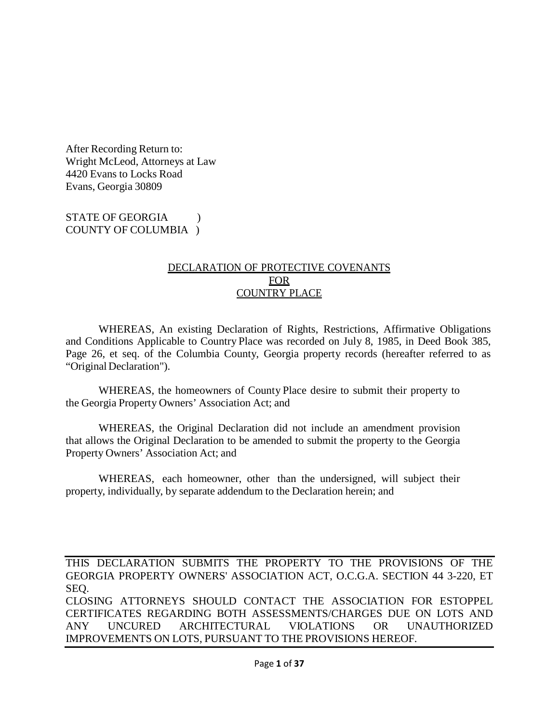After Recording Return to: Wright McLeod, Attorneys at Law 4420 Evans to Locks Road Evans, Georgia 30809

STATE OF GEORGIA (1) COUNTY OF COLUMBIA )

#### DECLARATION OF PROTECTIVE COVENANTS **FOR** COUNTRY PLACE

WHEREAS, An existing Declaration of Rights, Restrictions, Affirmative Obligations and Conditions Applicable to Country Place was recorded on July 8, 1985, in Deed Book 385, Page 26, et seq. of the Columbia County, Georgia property records (hereafter referred to as "Original Declaration").

WHEREAS, the homeowners of County Place desire to submit their property to the Georgia Property Owners' Association Act; and

WHEREAS, the Original Declaration did not include an amendment provision that allows the Original Declaration to be amended to submit the property to the Georgia Property Owners' Association Act; and

WHEREAS, each homeowner, other than the undersigned, will subject their property, individually, by separate addendum to the Declaration herein; and

THIS DECLARATION SUBMITS THE PROPERTY TO THE PROVISIONS OF THE GEORGIA PROPERTY OWNERS' ASSOCIATION ACT, O.C.G.A. SECTION 44 3-220, ET SEQ. CLOSING ATTORNEYS SHOULD CONTACT THE ASSOCIATION FOR ESTOPPEL CERTIFICATES REGARDING BOTH ASSESSMENTS/CHARGES DUE ON LOTS AND ANY UNCURED ARCHITECTURAL VIOLATIONS OR UNAUTHORIZED IMPROVEMENTS ON LOTS, PURSUANT TO THE PROVISIONS HEREOF.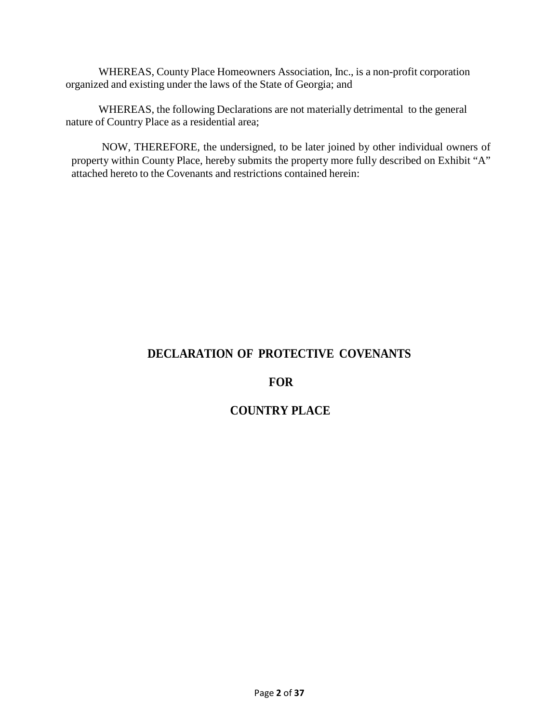WHEREAS, County Place Homeowners Association, Inc., is a non-profit corporation organized and existing under the laws of the State of Georgia; and

WHEREAS, the following Declarations are not materially detrimental to the general nature of Country Place as a residential area;

NOW, THEREFORE, the undersigned, to be later joined by other individual owners of property within County Place, hereby submits the property more fully described on Exhibit "A" attached hereto to the Covenants and restrictions contained herein:

# **DECLARATION OF PROTECTIVE COVENANTS**

# **FOR**

# **COUNTRY PLACE**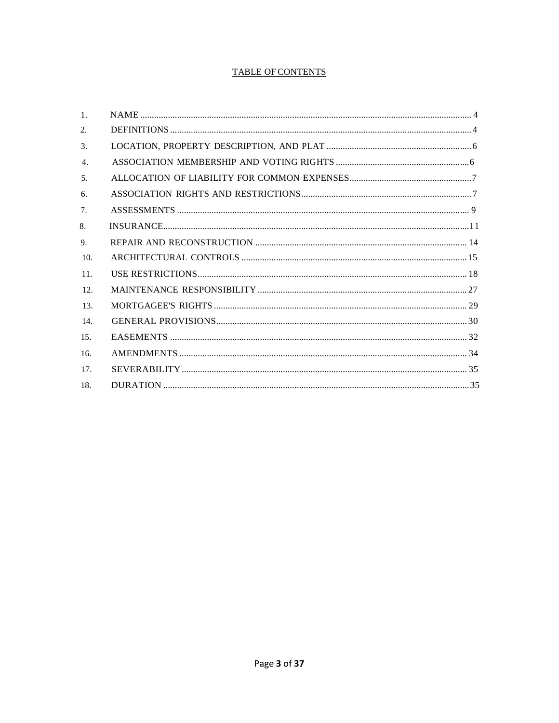#### **TABLE OF CONTENTS**

| $\mathbf{1}$ .   |  |
|------------------|--|
| 2.               |  |
| 3.               |  |
| $\overline{4}$ . |  |
| 5 <sub>1</sub>   |  |
| 6.               |  |
| 7 <sub>1</sub>   |  |
| 8.               |  |
| 9.               |  |
| 10.              |  |
| 11.              |  |
| 12.              |  |
| 13.              |  |
| 14.              |  |
| 15.              |  |
| 16.              |  |
| 17.              |  |
| 18.              |  |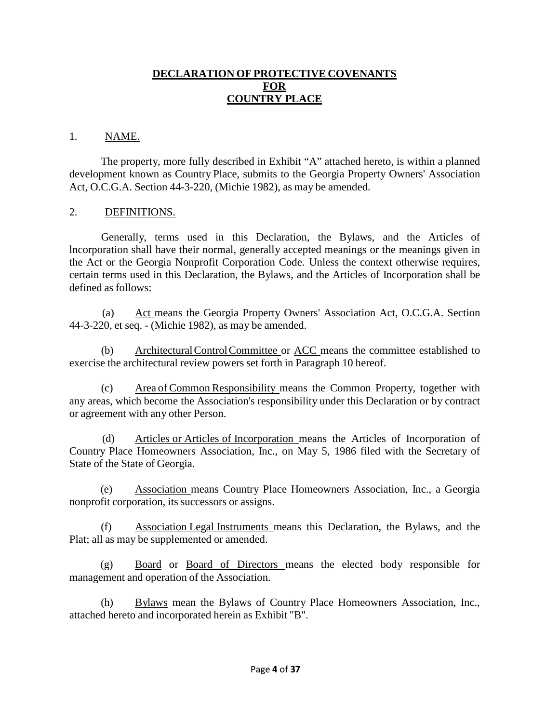#### **DECLARATION OF PROTECTIVE COVENANTS FOR COUNTRY PLACE**

#### 1. NAME.

The property, more fully described in Exhibit "A" attached hereto, is within a planned development known as Country Place, submits to the Georgia Property Owners' Association Act, O.C.G.A. Section 44-3-220, (Michie 1982), as may be amended.

#### 2. DEFINITIONS.

Generally, terms used in this Declaration, the Bylaws, and the Articles of lncorporation shall have their normal, generally accepted meanings or the meanings given in the Act or the Georgia Nonprofit Corporation Code. Unless the context otherwise requires, certain terms used in this Declaration, the Bylaws, and the Articles of Incorporation shall be defined as follows:

(a) Act means the Georgia Property Owners' Association Act, O.C.G.A. Section 44-3-220, et seq. - (Michie 1982), as may be amended.

(b) ArchitecturalControlCommittee or ACC means the committee established to exercise the architectural review powers set forth in Paragraph 10 hereof.

(c) Area of Common Responsibility means the Common Property, together with any areas, which become the Association's responsibility under this Declaration or by contract or agreement with any other Person.

(d) Articles or Articles of Incorporation means the Articles of Incorporation of Country Place Homeowners Association, Inc., on May 5, 1986 filed with the Secretary of State of the State of Georgia.

(e) Association means Country Place Homeowners Association, Inc., a Georgia nonprofit corporation, its successors or assigns.

(f) Association Legal Instruments means this Declaration, the Bylaws, and the Plat; all as may be supplemented or amended.

(g) Board or Board of Directors means the elected body responsible for management and operation of the Association.

(h) Bylaws mean the Bylaws of Country Place Homeowners Association, Inc., attached hereto and incorporated herein as Exhibit "B".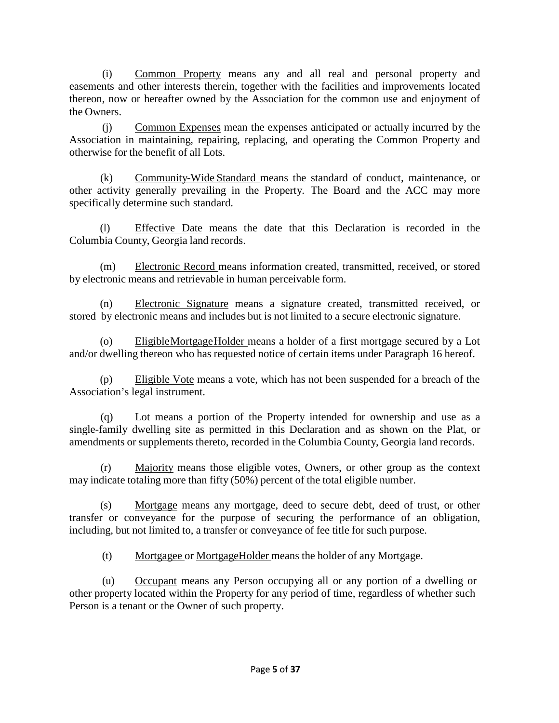(i) Common Property means any and all real and personal property and easements and other interests therein, together with the facilities and improvements located thereon, now or hereafter owned by the Association for the common use and enjoyment of the Owners.

(j) Common Expenses mean the expenses anticipated or actually incurred by the Association in maintaining, repairing, replacing, and operating the Common Property and otherwise for the benefit of all Lots.

(k) Community-Wide Standard means the standard of conduct, maintenance, or other activity generally prevailing in the Property. The Board and the ACC may more specifically determine such standard.

(l) Effective Date means the date that this Declaration is recorded in the Columbia County, Georgia land records.

(m) Electronic Record means information created, transmitted, received, or stored by electronic means and retrievable in human perceivable form.

(n) Electronic Signature means a signature created, transmitted received, or stored by electronic means and includes but is not limited to a secure electronic signature.

(o) EligibleMortgageHolder means a holder of a first mortgage secured by a Lot and/or dwelling thereon who has requested notice of certain items under Paragraph 16 hereof.

(p) Eligible Vote means a vote, which has not been suspended for a breach of the Association's legal instrument.

(q) Lot means a portion of the Property intended for ownership and use as a single-family dwelling site as permitted in this Declaration and as shown on the Plat, or amendments or supplements thereto, recorded in the Columbia County, Georgia land records.

(r) Majority means those eligible votes, Owners, or other group as the context may indicate totaling more than fifty (50%) percent of the total eligible number.

(s) Mortgage means any mortgage, deed to secure debt, deed of trust, or other transfer or conveyance for the purpose of securing the performance of an obligation, including, but not limited to, a transfer or conveyance of fee title for such purpose.

(t) Mortgagee or MortgageHolder means the holder of any Mortgage.

(u) Occupant means any Person occupying all or any portion of a dwelling or other property located within the Property for any period of time, regardless of whether such Person is a tenant or the Owner of such property.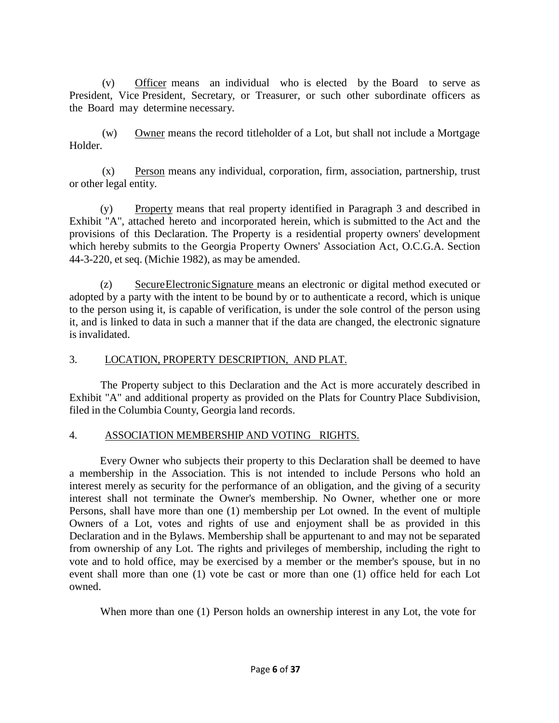(v) Officer means an individual who is elected by the Board to serve as President, Vice President, Secretary, or Treasurer, or such other subordinate officers as the Board may determine necessary.

(w) Owner means the record titleholder of a Lot, but shall not include a Mortgage Holder.

(x) Person means any individual, corporation, firm, association, partnership, trust or other legal entity.

(y) Property means that real property identified in Paragraph 3 and described in Exhibit "A", attached hereto and incorporated herein, which is submitted to the Act and the provisions of this Declaration. The Property is a residential property owners' development which hereby submits to the Georgia Property Owners' Association Act, O.C.G.A. Section 44-3-220, et seq. (Michie 1982), as may be amended.

(z) SecureElectronicSignature means an electronic or digital method executed or adopted by a party with the intent to be bound by or to authenticate a record, which is unique to the person using it, is capable of verification, is under the sole control of the person using it, and is linked to data in such a manner that if the data are changed, the electronic signature is invalidated.

## 3. LOCATION, PROPERTY DESCRIPTION, AND PLAT.

The Property subject to this Declaration and the Act is more accurately described in Exhibit "A" and additional property as provided on the Plats for Country Place Subdivision, filed in the Columbia County, Georgia land records.

## 4. ASSOCIATION MEMBERSHIP AND VOTING RIGHTS.

Every Owner who subjects their property to this Declaration shall be deemed to have a membership in the Association. This is not intended to include Persons who hold an interest merely as security for the performance of an obligation, and the giving of a security interest shall not terminate the Owner's membership. No Owner, whether one or more Persons, shall have more than one (1) membership per Lot owned. In the event of multiple Owners of a Lot, votes and rights of use and enjoyment shall be as provided in this Declaration and in the Bylaws. Membership shall be appurtenant to and may not be separated from ownership of any Lot. The rights and privileges of membership, including the right to vote and to hold office, may be exercised by a member or the member's spouse, but in no event shall more than one (1) vote be cast or more than one (1) office held for each Lot owned.

When more than one (1) Person holds an ownership interest in any Lot, the vote for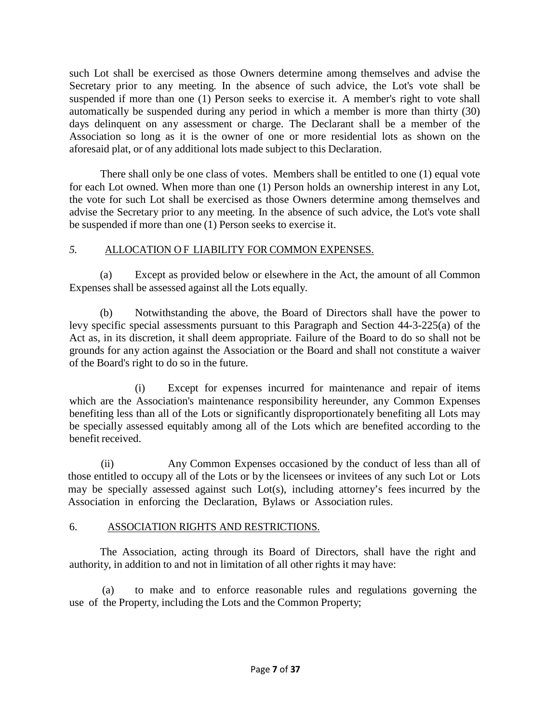such Lot shall be exercised as those Owners determine among themselves and advise the Secretary prior to any meeting. In the absence of such advice, the Lot's vote shall be suspended if more than one (1) Person seeks to exercise it. A member's right to vote shall automatically be suspended during any period in which a member is more than thirty (30) days delinquent on any assessment or charge. The Declarant shall be a member of the Association so long as it is the owner of one or more residential lots as shown on the aforesaid plat, or of any additional lots made subject to this Declaration.

There shall only be one class of votes. Members shall be entitled to one (1) equal vote for each Lot owned. When more than one (1) Person holds an ownership interest in any Lot, the vote for such Lot shall be exercised as those Owners determine among themselves and advise the Secretary prior to any meeting. In the absence of such advice, the Lot's vote shall be suspended if more than one (1) Person seeks to exercise it.

## *5.* ALLOCATION O F LIABILITY FOR COMMON EXPENSES.

(a) Except as provided below or elsewhere in the Act, the amount of all Common Expenses shall be assessed against all the Lots equally.

(b) Notwithstanding the above, the Board of Directors shall have the power to levy specific special assessments pursuant to this Paragraph and Section 44-3-225(a) of the Act as, in its discretion, it shall deem appropriate. Failure of the Board to do so shall not be grounds for any action against the Association or the Board and shall not constitute a waiver of the Board's right to do so in the future.

(i) Except for expenses incurred for maintenance and repair of items which are the Association's maintenance responsibility hereunder, any Common Expenses benefiting less than all of the Lots or significantly disproportionately benefiting all Lots may be specially assessed equitably among all of the Lots which are benefited according to the benefit received.

(ii) Any Common Expenses occasioned by the conduct of less than all of those entitled to occupy all of the Lots or by the licensees or invitees of any such Lot or Lots may be specially assessed against such Lot(s), including attorney's fees incurred by the Association in enforcing the Declaration, Bylaws or Association rules.

## 6. ASSOCIATION RIGHTS AND RESTRICTIONS.

The Association, acting through its Board of Directors, shall have the right and authority, in addition to and not in limitation of all other rights it may have:

(a) to make and to enforce reasonable rules and regulations governing the use of the Property, including the Lots and the Common Property;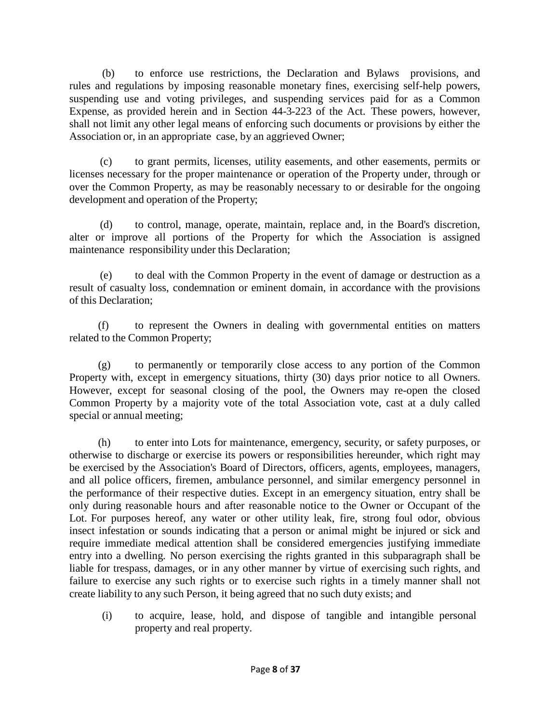(b) to enforce use restrictions, the Declaration and Bylaws provisions, and rules and regulations by imposing reasonable monetary fines, exercising self-help powers, suspending use and voting privileges, and suspending services paid for as a Common Expense, as provided herein and in Section 44-3-223 of the Act. These powers, however, shall not limit any other legal means of enforcing such documents or provisions by either the Association or, in an appropriate case, by an aggrieved Owner;

(c) to grant permits, licenses, utility easements, and other easements, permits or licenses necessary for the proper maintenance or operation of the Property under, through or over the Common Property, as may be reasonably necessary to or desirable for the ongoing development and operation of the Property;

(d) to control, manage, operate, maintain, replace and, in the Board's discretion, alter or improve all portions of the Property for which the Association is assigned maintenance responsibility under this Declaration;

(e) to deal with the Common Property in the event of damage or destruction as a result of casualty loss, condemnation or eminent domain, in accordance with the provisions of this Declaration;

(f) to represent the Owners in dealing with governmental entities on matters related to the Common Property;

(g) to permanently or temporarily close access to any portion of the Common Property with, except in emergency situations, thirty (30) days prior notice to all Owners. However, except for seasonal closing of the pool, the Owners may re-open the closed Common Property by a majority vote of the total Association vote, cast at a duly called special or annual meeting;

(h) to enter into Lots for maintenance, emergency, security, or safety purposes, or otherwise to discharge or exercise its powers or responsibilities hereunder, which right may be exercised by the Association's Board of Directors, officers, agents, employees, managers, and all police officers, firemen, ambulance personnel, and similar emergency personnel in the performance of their respective duties. Except in an emergency situation, entry shall be only during reasonable hours and after reasonable notice to the Owner or Occupant of the Lot. For purposes hereof, any water or other utility leak, fire, strong foul odor, obvious insect infestation or sounds indicating that a person or animal might be injured or sick and require immediate medical attention shall be considered emergencies justifying immediate entry into a dwelling. No person exercising the rights granted in this subparagraph shall be liable for trespass, damages, or in any other manner by virtue of exercising such rights, and failure to exercise any such rights or to exercise such rights in a timely manner shall not create liability to any such Person, it being agreed that no such duty exists; and

(i) to acquire, lease, hold, and dispose of tangible and intangible personal property and real property.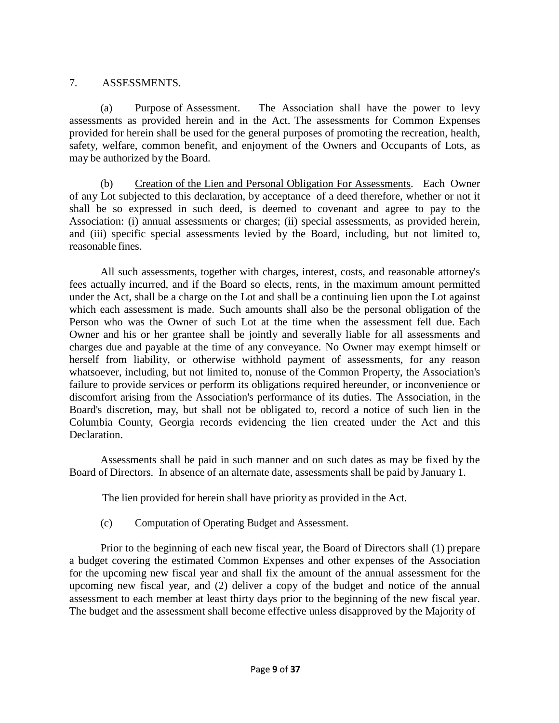#### 7. ASSESSMENTS.

(a) Purpose of Assessment. The Association shall have the power to levy assessments as provided herein and in the Act. The assessments for Common Expenses provided for herein shall be used for the general purposes of promoting the recreation, health, safety, welfare, common benefit, and enjoyment of the Owners and Occupants of Lots, as may be authorized by the Board.

(b) Creation of the Lien and Personal Obligation For Assessments. Each Owner of any Lot subjected to this declaration, by acceptance of a deed therefore, whether or not it shall be so expressed in such deed, is deemed to covenant and agree to pay to the Association: (i) annual assessments or charges; (ii) special assessments, as provided herein, and (iii) specific special assessments levied by the Board, including, but not limited to, reasonable fines.

All such assessments, together with charges, interest, costs, and reasonable attorney's fees actually incurred, and if the Board so elects, rents, in the maximum amount permitted under the Act, shall be a charge on the Lot and shall be a continuing lien upon the Lot against which each assessment is made. Such amounts shall also be the personal obligation of the Person who was the Owner of such Lot at the time when the assessment fell due. Each Owner and his or her grantee shall be jointly and severally liable for all assessments and charges due and payable at the time of any conveyance. No Owner may exempt himself or herself from liability, or otherwise withhold payment of assessments, for any reason whatsoever, including, but not limited to, nonuse of the Common Property, the Association's failure to provide services or perform its obligations required hereunder, or inconvenience or discomfort arising from the Association's performance of its duties. The Association, in the Board's discretion, may, but shall not be obligated to, record a notice of such lien in the Columbia County, Georgia records evidencing the lien created under the Act and this Declaration.

Assessments shall be paid in such manner and on such dates as may be fixed by the Board of Directors. In absence of an alternate date, assessments shall be paid by January 1.

The lien provided for herein shall have priority as provided in the Act.

## (c) Computation of Operating Budget and Assessment.

Prior to the beginning of each new fiscal year, the Board of Directors shall (1) prepare a budget covering the estimated Common Expenses and other expenses of the Association for the upcoming new fiscal year and shall fix the amount of the annual assessment for the upcoming new fiscal year, and (2) deliver a copy of the budget and notice of the annual assessment to each member at least thirty days prior to the beginning of the new fiscal year. The budget and the assessment shall become effective unless disapproved by the Majority of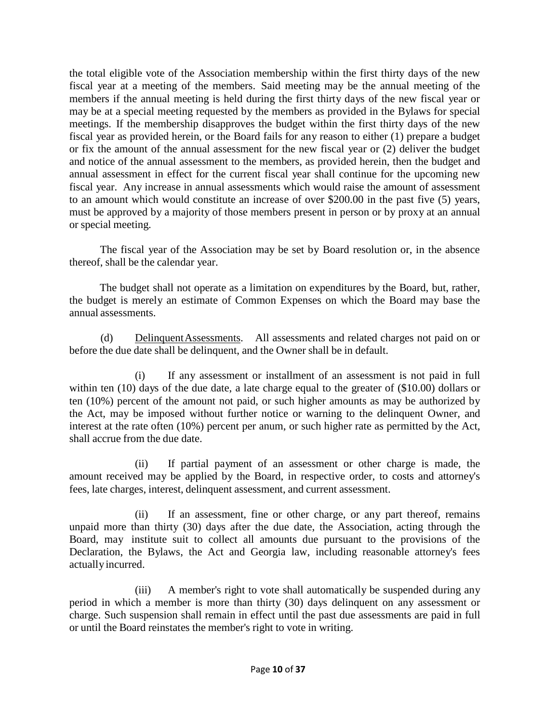the total eligible vote of the Association membership within the first thirty days of the new fiscal year at a meeting of the members. Said meeting may be the annual meeting of the members if the annual meeting is held during the first thirty days of the new fiscal year or may be at a special meeting requested by the members as provided in the Bylaws for special meetings. If the membership disapproves the budget within the first thirty days of the new fiscal year as provided herein, or the Board fails for any reason to either (1) prepare a budget or fix the amount of the annual assessment for the new fiscal year or (2) deliver the budget and notice of the annual assessment to the members, as provided herein, then the budget and annual assessment in effect for the current fiscal year shall continue for the upcoming new fiscal year. Any increase in annual assessments which would raise the amount of assessment to an amount which would constitute an increase of over \$200.00 in the past five (5) years, must be approved by a majority of those members present in person or by proxy at an annual or special meeting.

The fiscal year of the Association may be set by Board resolution or, in the absence thereof, shall be the calendar year.

The budget shall not operate as a limitation on expenditures by the Board, but, rather, the budget is merely an estimate of Common Expenses on which the Board may base the annual assessments.

(d) Delinquent Assessments. All assessments and related charges not paid on or before the due date shall be delinquent, and the Owner shall be in default.

(i) If any assessment or installment of an assessment is not paid in full within ten (10) days of the due date, a late charge equal to the greater of (\$10.00) dollars or ten (10%) percent of the amount not paid, or such higher amounts as may be authorized by the Act, may be imposed without further notice or warning to the delinquent Owner, and interest at the rate often (10%) percent per anum, or such higher rate as permitted by the Act, shall accrue from the due date.

(ii) If partial payment of an assessment or other charge is made, the amount received may be applied by the Board, in respective order, to costs and attorney's fees, late charges, interest, delinquent assessment, and current assessment.

(ii) If an assessment, fine or other charge, or any part thereof, remains unpaid more than thirty (30) days after the due date, the Association, acting through the Board, may institute suit to collect all amounts due pursuant to the provisions of the Declaration, the Bylaws, the Act and Georgia law, including reasonable attorney's fees actually incurred.

(iii) A member's right to vote shall automatically be suspended during any period in which a member is more than thirty (30) days delinquent on any assessment or charge. Such suspension shall remain in effect until the past due assessments are paid in full or until the Board reinstates the member's right to vote in writing.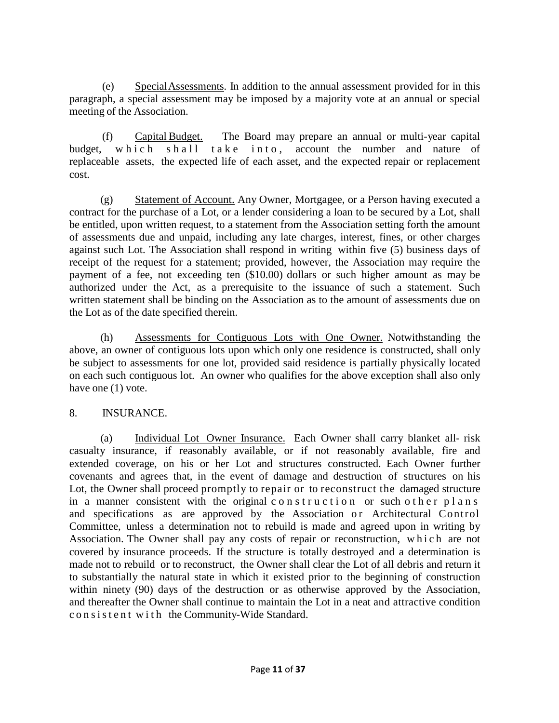(e) SpecialAssessments. In addition to the annual assessment provided for in this paragraph, a special assessment may be imposed by a majority vote at an annual or special meeting of the Association.

(f) Capital Budget. The Board may prepare an annual or multi-year capital budget, which shall take into, account the number and nature of replaceable assets, the expected life of each asset, and the expected repair or replacement cost.

(g) Statement of Account. Any Owner, Mortgagee, or a Person having executed a contract for the purchase of a Lot, or a lender considering a loan to be secured by a Lot, shall be entitled, upon written request, to a statement from the Association setting forth the amount of assessments due and unpaid, including any late charges, interest, fines, or other charges against such Lot. The Association shall respond in writing within five (5) business days of receipt of the request for a statement; provided, however, the Association may require the payment of a fee, not exceeding ten (\$10.00) dollars or such higher amount as may be authorized under the Act, as a prerequisite to the issuance of such a statement. Such written statement shall be binding on the Association as to the amount of assessments due on the Lot as of the date specified therein.

(h) Assessments for Contiguous Lots with One Owner. Notwithstanding the above, an owner of contiguous lots upon which only one residence is constructed, shall only be subject to assessments for one lot, provided said residence is partially physically located on each such contiguous lot. An owner who qualifies for the above exception shall also only have one  $(1)$  vote.

## 8. INSURANCE.

(a) Individual Lot Owner Insurance. Each Owner shall carry blanket all- risk casualty insurance, if reasonably available, or if not reasonably available, fire and extended coverage, on his or her Lot and structures constructed. Each Owner further covenants and agrees that, in the event of damage and destruction of structures on his Lot, the Owner shall proceed promptly to repair or to reconstruct the damaged structure in a manner consistent with the original construction or such other plans and specifications as are approved by the Association or Architectural Control Committee, unless a determination not to rebuild is made and agreed upon in writing by Association. The Owner shall pay any costs of repair or reconstruction, which are not covered by insurance proceeds. If the structure is totally destroyed and a determination is made not to rebuild or to reconstruct, the Owner shall clear the Lot of all debris and return it to substantially the natural state in which it existed prior to the beginning of construction within ninety (90) days of the destruction or as otherwise approved by the Association, and thereafter the Owner shall continue to maintain the Lot in a neat and attractive condition consistent with the Community-Wide Standard.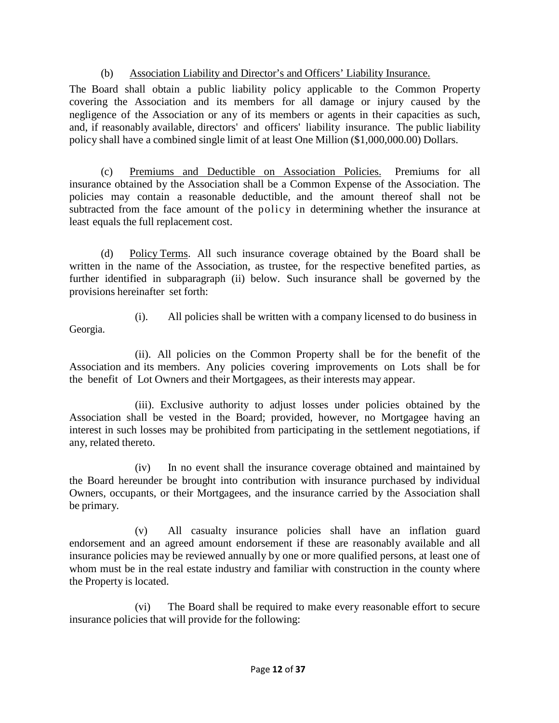## (b) Association Liability and Director's and Officers' Liability Insurance.

The Board shall obtain a public liability policy applicable to the Common Property covering the Association and its members for all damage or injury caused by the negligence of the Association or any of its members or agents in their capacities as such, and, if reasonably available, directors' and officers' liability insurance. The public liability policy shall have a combined single limit of at least One Million (\$1,000,000.00) Dollars.

(c) Premiums and Deductible on Association Policies. Premiums for all insurance obtained by the Association shall be a Common Expense of the Association. The policies may contain a reasonable deductible, and the amount thereof shall not be subtracted from the face amount of the policy in determining whether the insurance at least equals the full replacement cost.

(d) Policy Terms. All such insurance coverage obtained by the Board shall be written in the name of the Association, as trustee, for the respective benefited parties, as further identified in subparagraph (ii) below. Such insurance shall be governed by the provisions hereinafter set forth:

Georgia.

(i). All policies shall be written with a company licensed to do business in

(ii). All policies on the Common Property shall be for the benefit of the Association and its members. Any policies covering improvements on Lots shall be for the benefit of Lot Owners and their Mortgagees, as their interests may appear.

(iii). Exclusive authority to adjust losses under policies obtained by the Association shall be vested in the Board; provided, however, no Mortgagee having an interest in such losses may be prohibited from participating in the settlement negotiations, if any, related thereto.

(iv) In no event shall the insurance coverage obtained and maintained by the Board hereunder be brought into contribution with insurance purchased by individual Owners, occupants, or their Mortgagees, and the insurance carried by the Association shall be primary.

(v) All casualty insurance policies shall have an inflation guard endorsement and an agreed amount endorsement if these are reasonably available and all insurance policies may be reviewed annually by one or more qualified persons, at least one of whom must be in the real estate industry and familiar with construction in the county where the Property is located.

(vi) The Board shall be required to make every reasonable effort to secure insurance policies that will provide for the following: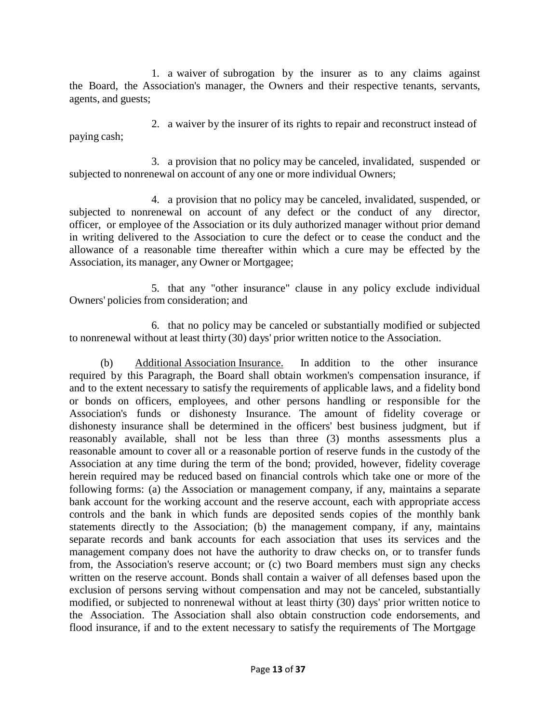1. a waiver of subrogation by the insurer as to any claims against the Board, the Association's manager, the Owners and their respective tenants, servants, agents, and guests;

paying cash; 2. a waiver by the insurer of its rights to repair and reconstruct instead of

3. a provision that no policy may be canceled, invalidated, suspended or subjected to nonrenewal on account of any one or more individual Owners;

4. a provision that no policy may be canceled, invalidated, suspended, or subjected to nonrenewal on account of any defect or the conduct of any director, officer, or employee of the Association or its duly authorized manager without prior demand in writing delivered to the Association to cure the defect or to cease the conduct and the allowance of a reasonable time thereafter within which a cure may be effected by the Association, its manager, any Owner or Mortgagee;

5. that any "other insurance" clause in any policy exclude individual Owners' policies from consideration; and

6. that no policy may be canceled or substantially modified or subjected to nonrenewal without at least thirty (30) days' prior written notice to the Association.

(b) Additional Association Insurance. In addition to the other insurance required by this Paragraph, the Board shall obtain workmen's compensation insurance, if and to the extent necessary to satisfy the requirements of applicable laws, and a fidelity bond or bonds on officers, employees, and other persons handling or responsible for the Association's funds or dishonesty Insurance. The amount of fidelity coverage or dishonesty insurance shall be determined in the officers' best business judgment, but if reasonably available, shall not be less than three (3) months assessments plus a reasonable amount to cover all or a reasonable portion of reserve funds in the custody of the Association at any time during the term of the bond; provided, however, fidelity coverage herein required may be reduced based on financial controls which take one or more of the following forms: (a) the Association or management company, if any, maintains a separate bank account for the working account and the reserve account, each with appropriate access controls and the bank in which funds are deposited sends copies of the monthly bank statements directly to the Association; (b) the management company, if any, maintains separate records and bank accounts for each association that uses its services and the management company does not have the authority to draw checks on, or to transfer funds from, the Association's reserve account; or (c) two Board members must sign any checks written on the reserve account. Bonds shall contain a waiver of all defenses based upon the exclusion of persons serving without compensation and may not be canceled, substantially modified, or subjected to nonrenewal without at least thirty (30) days' prior written notice to the Association. The Association shall also obtain construction code endorsements, and flood insurance, if and to the extent necessary to satisfy the requirements of The Mortgage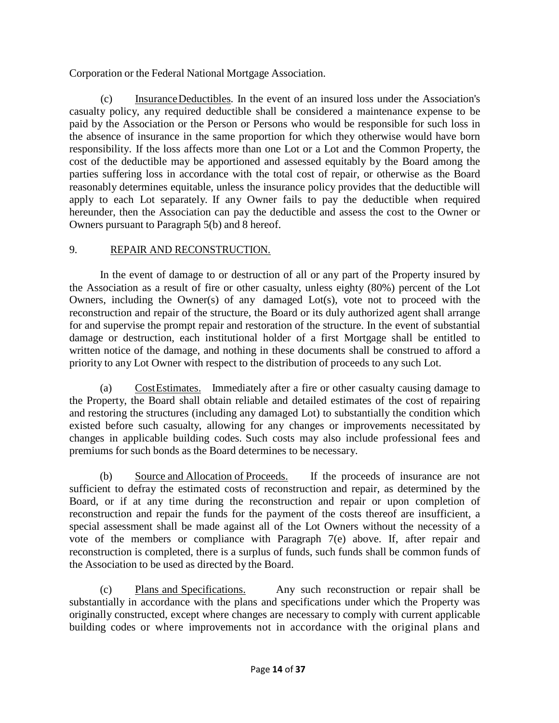Corporation or the Federal National Mortgage Association.

(c) InsuranceDeductibles. In the event of an insured loss under the Association's casualty policy, any required deductible shall be considered a maintenance expense to be paid by the Association or the Person or Persons who would be responsible for such loss in the absence of insurance in the same proportion for which they otherwise would have born responsibility. If the loss affects more than one Lot or a Lot and the Common Property, the cost of the deductible may be apportioned and assessed equitably by the Board among the parties suffering loss in accordance with the total cost of repair, or otherwise as the Board reasonably determines equitable, unless the insurance policy provides that the deductible will apply to each Lot separately. If any Owner fails to pay the deductible when required hereunder, then the Association can pay the deductible and assess the cost to the Owner or Owners pursuant to Paragraph 5(b) and 8 hereof.

## 9. REPAIR AND RECONSTRUCTION.

In the event of damage to or destruction of all or any part of the Property insured by the Association as a result of fire or other casualty, unless eighty (80%) percent of the Lot Owners, including the Owner(s) of any damaged Lot(s), vote not to proceed with the reconstruction and repair of the structure, the Board or its duly authorized agent shall arrange for and supervise the prompt repair and restoration of the structure. In the event of substantial damage or destruction, each institutional holder of a first Mortgage shall be entitled to written notice of the damage, and nothing in these documents shall be construed to afford a priority to any Lot Owner with respect to the distribution of proceeds to any such Lot.

(a) CostEstimates. Immediately after a fire or other casualty causing damage to the Property, the Board shall obtain reliable and detailed estimates of the cost of repairing and restoring the structures (including any damaged Lot) to substantially the condition which existed before such casualty, allowing for any changes or improvements necessitated by changes in applicable building codes. Such costs may also include professional fees and premiums for such bonds as the Board determines to be necessary.

(b) Source and Allocation of Proceeds. If the proceeds of insurance are not sufficient to defray the estimated costs of reconstruction and repair, as determined by the Board, or if at any time during the reconstruction and repair or upon completion of reconstruction and repair the funds for the payment of the costs thereof are insufficient, a special assessment shall be made against all of the Lot Owners without the necessity of a vote of the members or compliance with Paragraph 7(e) above. If, after repair and reconstruction is completed, there is a surplus of funds, such funds shall be common funds of the Association to be used as directed by the Board.

(c) Plans and Specifications. Any such reconstruction or repair shall be substantially in accordance with the plans and specifications under which the Property was originally constructed, except where changes are necessary to comply with current applicable building codes or where improvements not in accordance with the original plans and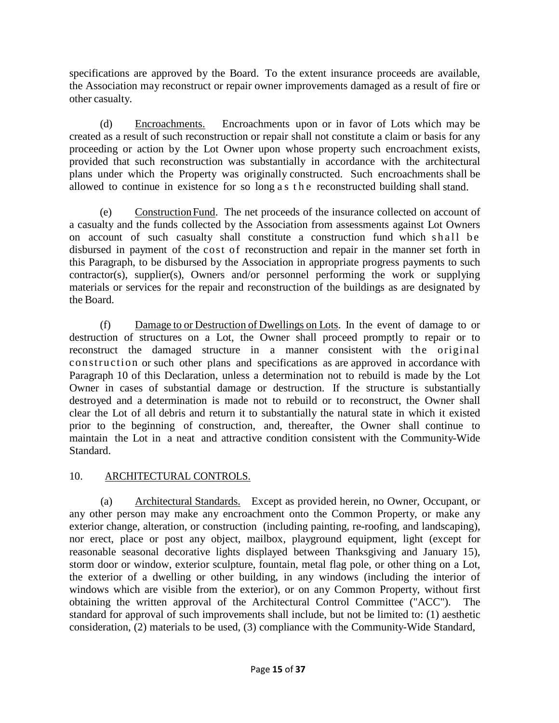specifications are approved by the Board. To the extent insurance proceeds are available, the Association may reconstruct or repair owner improvements damaged as a result of fire or other casualty.

(d) Encroachments. Encroachments upon or in favor of Lots which may be created as a result of such reconstruction or repair shall not constitute a claim or basis for any proceeding or action by the Lot Owner upon whose property such encroachment exists, provided that such reconstruction was substantially in accordance with the architectural plans under which the Property was originally constructed. Such encroachments shall be allowed to continue in existence for so long a s the reconstructed building shall stand.

(e) ConstructionFund. The net proceeds of the insurance collected on account of a casualty and the funds collected by the Association from assessments against Lot Owners on account of such casualty shall constitute a construction fund which shall be disbursed in payment of the cost of reconstruction and repair in the manner set forth in this Paragraph, to be disbursed by the Association in appropriate progress payments to such contractor(s), supplier(s), Owners and/or personnel performing the work or supplying materials or services for the repair and reconstruction of the buildings as are designated by the Board.

(f) Damage to or Destruction of Dwellings on Lots. In the event of damage to or destruction of structures on a Lot, the Owner shall proceed promptly to repair or to reconstruct the damaged structure in a manner consistent with the original construction or such other plans and specifications as are approved in accordance with Paragraph 10 of this Declaration, unless a determination not to rebuild is made by the Lot Owner in cases of substantial damage or destruction. If the structure is substantially destroyed and a determination is made not to rebuild or to reconstruct, the Owner shall clear the Lot of all debris and return it to substantially the natural state in which it existed prior to the beginning of construction, and, thereafter, the Owner shall continue to maintain the Lot in a neat and attractive condition consistent with the Community-Wide Standard.

## 10. ARCHITECTURAL CONTROLS.

(a) Architectural Standards. Except as provided herein, no Owner, Occupant, or any other person may make any encroachment onto the Common Property, or make any exterior change, alteration, or construction (including painting, re-roofing, and landscaping), nor erect, place or post any object, mailbox, playground equipment, light (except for reasonable seasonal decorative lights displayed between Thanksgiving and January 15), storm door or window, exterior sculpture, fountain, metal flag pole, or other thing on a Lot, the exterior of a dwelling or other building, in any windows (including the interior of windows which are visible from the exterior), or on any Common Property, without first obtaining the written approval of the Architectural Control Committee ("ACC"). The standard for approval of such improvements shall include, but not be limited to: (1) aesthetic consideration, (2) materials to be used, (3) compliance with the Community-Wide Standard,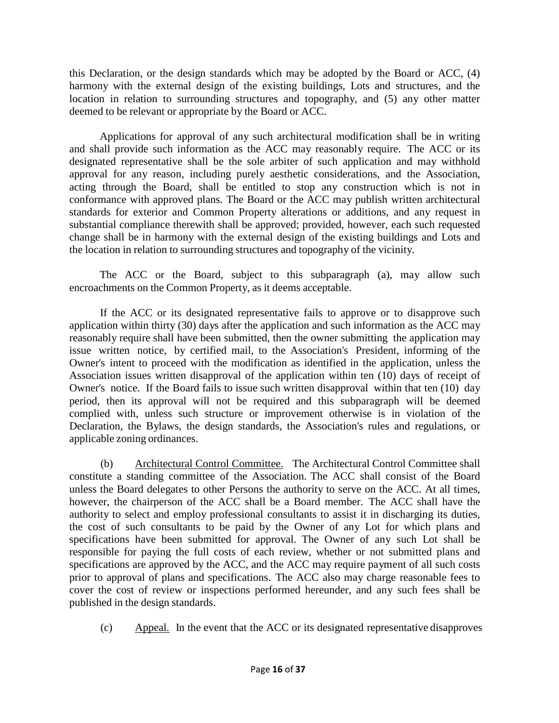this Declaration, or the design standards which may be adopted by the Board or ACC, (4) harmony with the external design of the existing buildings, Lots and structures, and the location in relation to surrounding structures and topography, and (5) any other matter deemed to be relevant or appropriate by the Board or ACC.

Applications for approval of any such architectural modification shall be in writing and shall provide such information as the ACC may reasonably require. The ACC or its designated representative shall be the sole arbiter of such application and may withhold approval for any reason, including purely aesthetic considerations, and the Association, acting through the Board, shall be entitled to stop any construction which is not in conformance with approved plans. The Board or the ACC may publish written architectural standards for exterior and Common Property alterations or additions, and any request in substantial compliance therewith shall be approved; provided, however, each such requested change shall be in harmony with the external design of the existing buildings and Lots and the location in relation to surrounding structures and topography of the vicinity.

The ACC or the Board, subject to this subparagraph (a), may allow such encroachments on the Common Property, as it deems acceptable.

If the ACC or its designated representative fails to approve or to disapprove such application within thirty (30) days after the application and such information as the ACC may reasonably require shall have been submitted, then the owner submitting the application may issue written notice, by certified mail, to the Association's President, informing of the Owner's intent to proceed with the modification as identified in the application, unless the Association issues written disapproval of the application within ten (10) days of receipt of Owner's notice. If the Board fails to issue such written disapproval within that ten (10) day period, then its approval will not be required and this subparagraph will be deemed complied with, unless such structure or improvement otherwise is in violation of the Declaration, the Bylaws, the design standards, the Association's rules and regulations, or applicable zoning ordinances.

(b) Architectural Control Committee. The Architectural Control Committee shall constitute a standing committee of the Association. The ACC shall consist of the Board unless the Board delegates to other Persons the authority to serve on the ACC. At all times, however, the chairperson of the ACC shall be a Board member. The ACC shall have the authority to select and employ professional consultants to assist it in discharging its duties, the cost of such consultants to be paid by the Owner of any Lot for which plans and specifications have been submitted for approval. The Owner of any such Lot shall be responsible for paying the full costs of each review, whether or not submitted plans and specifications are approved by the ACC, and the ACC may require payment of all such costs prior to approval of plans and specifications. The ACC also may charge reasonable fees to cover the cost of review or inspections performed hereunder, and any such fees shall be published in the design standards.

(c) Appeal. In the event that the ACC or its designated representative disapproves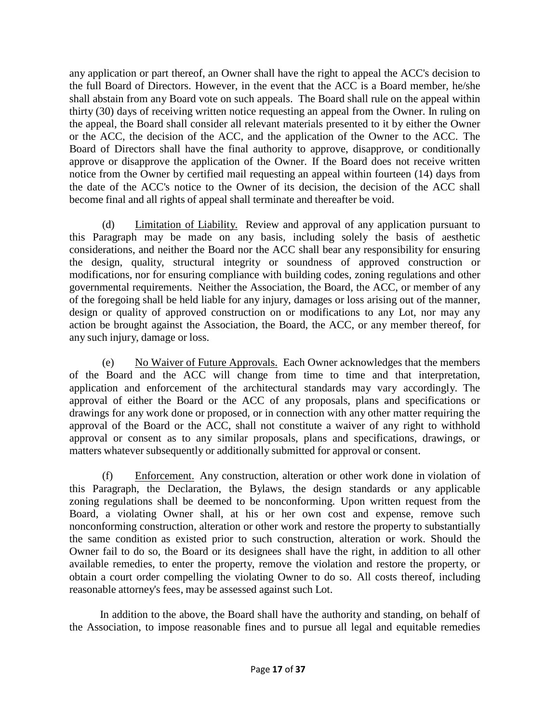any application or part thereof, an Owner shall have the right to appeal the ACC's decision to the full Board of Directors. However, in the event that the ACC is a Board member, he/she shall abstain from any Board vote on such appeals. The Board shall rule on the appeal within thirty (30) days of receiving written notice requesting an appeal from the Owner. In ruling on the appeal, the Board shall consider all relevant materials presented to it by either the Owner or the ACC, the decision of the ACC, and the application of the Owner to the ACC. The Board of Directors shall have the final authority to approve, disapprove, or conditionally approve or disapprove the application of the Owner. If the Board does not receive written notice from the Owner by certified mail requesting an appeal within fourteen (14) days from the date of the ACC's notice to the Owner of its decision, the decision of the ACC shall become final and all rights of appeal shall terminate and thereafter be void.

(d) Limitation of Liability. Review and approval of any application pursuant to this Paragraph may be made on any basis, including solely the basis of aesthetic considerations, and neither the Board nor the ACC shall bear any responsibility for ensuring the design, quality, structural integrity or soundness of approved construction or modifications, nor for ensuring compliance with building codes, zoning regulations and other governmental requirements. Neither the Association, the Board, the ACC, or member of any of the foregoing shall be held liable for any injury, damages or loss arising out of the manner, design or quality of approved construction on or modifications to any Lot, nor may any action be brought against the Association, the Board, the ACC, or any member thereof, for any such injury, damage or loss.

(e) No Waiver of Future Approvals. Each Owner acknowledges that the members of the Board and the ACC will change from time to time and that interpretation, application and enforcement of the architectural standards may vary accordingly. The approval of either the Board or the ACC of any proposals, plans and specifications or drawings for any work done or proposed, or in connection with any other matter requiring the approval of the Board or the ACC, shall not constitute a waiver of any right to withhold approval or consent as to any similar proposals, plans and specifications, drawings, or matters whatever subsequently or additionally submitted for approval or consent.

(f) Enforcement. Any construction, alteration or other work done in violation of this Paragraph, the Declaration, the Bylaws, the design standards or any applicable zoning regulations shall be deemed to be nonconforming. Upon written request from the Board, a violating Owner shall, at his or her own cost and expense, remove such nonconforming construction, alteration or other work and restore the property to substantially the same condition as existed prior to such construction, alteration or work. Should the Owner fail to do so, the Board or its designees shall have the right, in addition to all other available remedies, to enter the property, remove the violation and restore the property, or obtain a court order compelling the violating Owner to do so. All costs thereof, including reasonable attorney's fees, may be assessed against such Lot.

In addition to the above, the Board shall have the authority and standing, on behalf of the Association, to impose reasonable fines and to pursue all legal and equitable remedies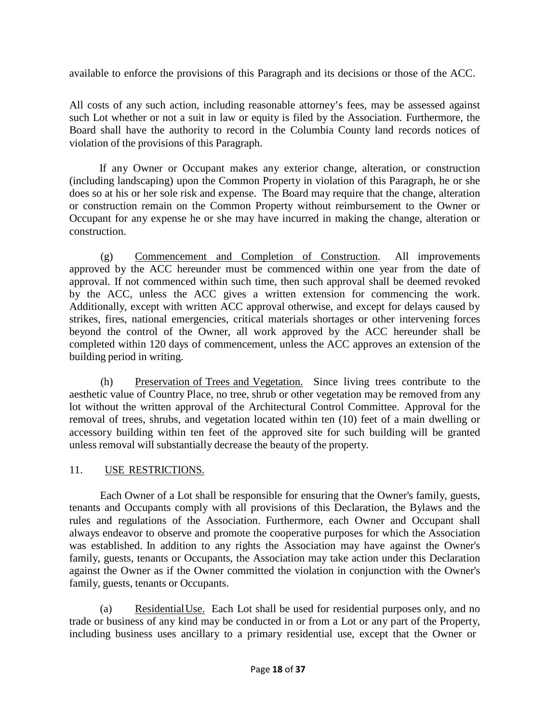available to enforce the provisions of this Paragraph and its decisions or those of the ACC.

All costs of any such action, including reasonable attorney's fees, may be assessed against such Lot whether or not a suit in law or equity is filed by the Association. Furthermore, the Board shall have the authority to record in the Columbia County land records notices of violation of the provisions of this Paragraph.

If any Owner or Occupant makes any exterior change, alteration, or construction (including landscaping) upon the Common Property in violation of this Paragraph, he or she does so at his or her sole risk and expense. The Board may require that the change, alteration or construction remain on the Common Property without reimbursement to the Owner or Occupant for any expense he or she may have incurred in making the change, alteration or construction.

(g) Commencement and Completion of Construction. All improvements approved by the ACC hereunder must be commenced within one year from the date of approval. If not commenced within such time, then such approval shall be deemed revoked by the ACC, unless the ACC gives a written extension for commencing the work. Additionally, except with written ACC approval otherwise, and except for delays caused by strikes, fires, national emergencies, critical materials shortages or other intervening forces beyond the control of the Owner, all work approved by the ACC hereunder shall be completed within 120 days of commencement, unless the ACC approves an extension of the building period in writing.

(h) Preservation of Trees and Vegetation. Since living trees contribute to the aesthetic value of Country Place, no tree, shrub or other vegetation may be removed from any lot without the written approval of the Architectural Control Committee. Approval for the removal of trees, shrubs, and vegetation located within ten (10) feet of a main dwelling or accessory building within ten feet of the approved site for such building will be granted unless removal will substantially decrease the beauty of the property.

## 11. USE RESTRICTIONS.

Each Owner of a Lot shall be responsible for ensuring that the Owner's family, guests, tenants and Occupants comply with all provisions of this Declaration, the Bylaws and the rules and regulations of the Association. Furthermore, each Owner and Occupant shall always endeavor to observe and promote the cooperative purposes for which the Association was established. In addition to any rights the Association may have against the Owner's family, guests, tenants or Occupants, the Association may take action under this Declaration against the Owner as if the Owner committed the violation in conjunction with the Owner's family, guests, tenants or Occupants.

(a) ResidentialUse. Each Lot shall be used for residential purposes only, and no trade or business of any kind may be conducted in or from a Lot or any part of the Property, including business uses ancillary to a primary residential use, except that the Owner or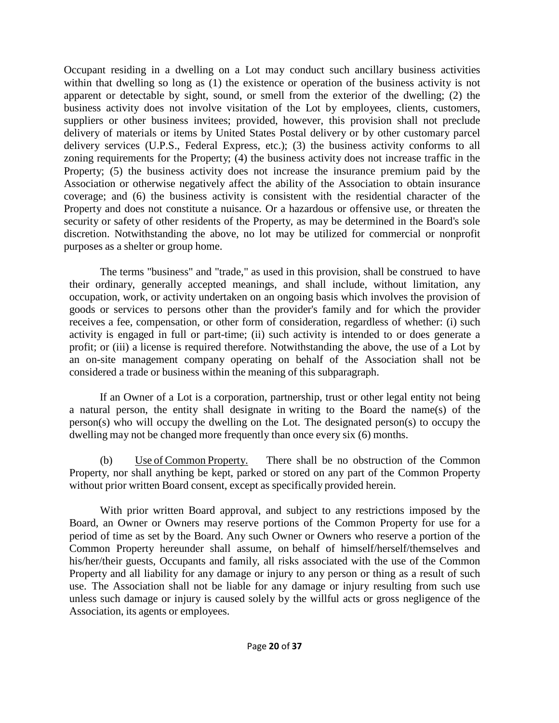Occupant residing in a dwelling on a Lot may conduct such ancillary business activities within that dwelling so long as (1) the existence or operation of the business activity is not apparent or detectable by sight, sound, or smell from the exterior of the dwelling; (2) the business activity does not involve visitation of the Lot by employees, clients, customers, suppliers or other business invitees; provided, however, this provision shall not preclude delivery of materials or items by United States Postal delivery or by other customary parcel delivery services (U.P.S., Federal Express, etc.); (3) the business activity conforms to all zoning requirements for the Property; (4) the business activity does not increase traffic in the Property; (5) the business activity does not increase the insurance premium paid by the Association or otherwise negatively affect the ability of the Association to obtain insurance coverage; and (6) the business activity is consistent with the residential character of the Property and does not constitute a nuisance. Or a hazardous or offensive use, or threaten the security or safety of other residents of the Property, as may be determined in the Board's sole discretion. Notwithstanding the above, no lot may be utilized for commercial or nonprofit purposes as a shelter or group home.

The terms "business" and "trade," as used in this provision, shall be construed to have their ordinary, generally accepted meanings, and shall include, without limitation, any occupation, work, or activity undertaken on an ongoing basis which involves the provision of goods or services to persons other than the provider's family and for which the provider receives a fee, compensation, or other form of consideration, regardless of whether: (i) such activity is engaged in full or part-time; (ii) such activity is intended to or does generate a profit; or (iii) a license is required therefore. Notwithstanding the above, the use of a Lot by an on-site management company operating on behalf of the Association shall not be considered a trade or business within the meaning of this subparagraph.

If an Owner of a Lot is a corporation, partnership, trust or other legal entity not being a natural person, the entity shall designate in writing to the Board the name(s) of the person(s) who will occupy the dwelling on the Lot. The designated person(s) to occupy the dwelling may not be changed more frequently than once every six (6) months.

(b) Use of Common Property. There shall be no obstruction of the Common Property, nor shall anything be kept, parked or stored on any part of the Common Property without prior written Board consent, except as specifically provided herein.

With prior written Board approval, and subject to any restrictions imposed by the Board, an Owner or Owners may reserve portions of the Common Property for use for a period of time as set by the Board. Any such Owner or Owners who reserve a portion of the Common Property hereunder shall assume, on behalf of himself/herself/themselves and his/her/their guests, Occupants and family, all risks associated with the use of the Common Property and all liability for any damage or injury to any person or thing as a result of such use. The Association shall not be liable for any damage or injury resulting from such use unless such damage or injury is caused solely by the willful acts or gross negligence of the Association, its agents or employees.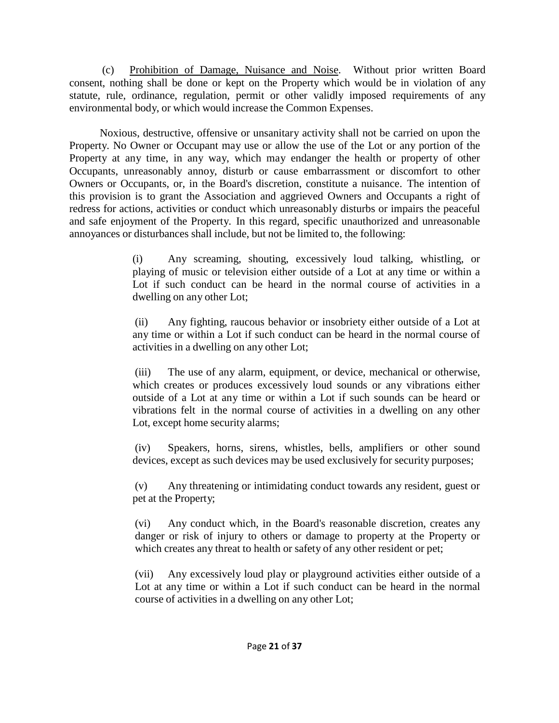(c) Prohibition of Damage, Nuisance and Noise. Without prior written Board consent, nothing shall be done or kept on the Property which would be in violation of any statute, rule, ordinance, regulation, permit or other validly imposed requirements of any environmental body, or which would increase the Common Expenses.

Noxious, destructive, offensive or unsanitary activity shall not be carried on upon the Property. No Owner or Occupant may use or allow the use of the Lot or any portion of the Property at any time, in any way, which may endanger the health or property of other Occupants, unreasonably annoy, disturb or cause embarrassment or discomfort to other Owners or Occupants, or, in the Board's discretion, constitute a nuisance. The intention of this provision is to grant the Association and aggrieved Owners and Occupants a right of redress for actions, activities or conduct which unreasonably disturbs or impairs the peaceful and safe enjoyment of the Property. In this regard, specific unauthorized and unreasonable annoyances or disturbances shall include, but not be limited to, the following:

> (i) Any screaming, shouting, excessively loud talking, whistling, or playing of music or television either outside of a Lot at any time or within a Lot if such conduct can be heard in the normal course of activities in a dwelling on any other Lot;

> (ii) Any fighting, raucous behavior or insobriety either outside of a Lot at any time or within a Lot if such conduct can be heard in the normal course of activities in a dwelling on any other Lot;

> (iii) The use of any alarm, equipment, or device, mechanical or otherwise, which creates or produces excessively loud sounds or any vibrations either outside of a Lot at any time or within a Lot if such sounds can be heard or vibrations felt in the normal course of activities in a dwelling on any other Lot, except home security alarms;

> (iv) Speakers, horns, sirens, whistles, bells, amplifiers or other sound devices, except as such devices may be used exclusively for security purposes;

> (v) Any threatening or intimidating conduct towards any resident, guest or pet at the Property;

> (vi) Any conduct which, in the Board's reasonable discretion, creates any danger or risk of injury to others or damage to property at the Property or which creates any threat to health or safety of any other resident or pet;

> (vii) Any excessively loud play or playground activities either outside of a Lot at any time or within a Lot if such conduct can be heard in the normal course of activities in a dwelling on any other Lot;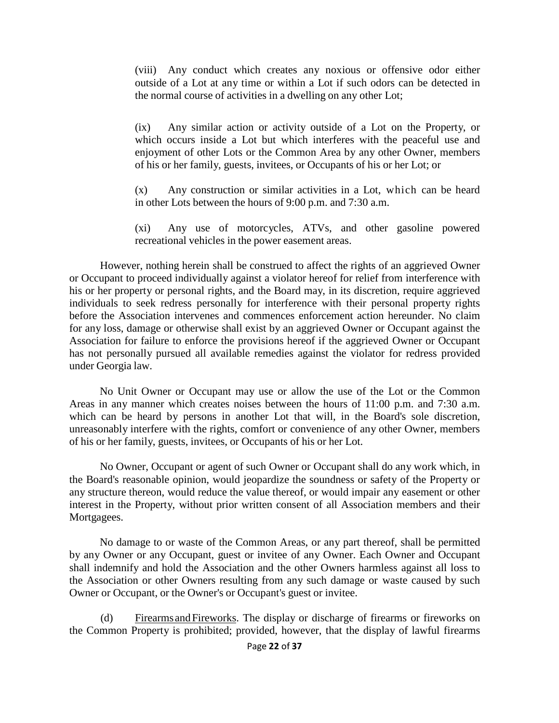(viii) Any conduct which creates any noxious or offensive odor either outside of a Lot at any time or within a Lot if such odors can be detected in the normal course of activities in a dwelling on any other Lot;

(ix) Any similar action or activity outside of a Lot on the Property, or which occurs inside a Lot but which interferes with the peaceful use and enjoyment of other Lots or the Common Area by any other Owner, members of his or her family, guests, invitees, or Occupants of his or her Lot; or

(x) Any construction or similar activities in a Lot, which can be heard in other Lots between the hours of 9:00 p.m. and 7:30 a.m.

(xi) Any use of motorcycles, ATVs, and other gasoline powered recreational vehicles in the power easement areas.

However, nothing herein shall be construed to affect the rights of an aggrieved Owner or Occupant to proceed individually against a violator hereof for relief from interference with his or her property or personal rights, and the Board may, in its discretion, require aggrieved individuals to seek redress personally for interference with their personal property rights before the Association intervenes and commences enforcement action hereunder. No claim for any loss, damage or otherwise shall exist by an aggrieved Owner or Occupant against the Association for failure to enforce the provisions hereof if the aggrieved Owner or Occupant has not personally pursued all available remedies against the violator for redress provided under Georgia law.

No Unit Owner or Occupant may use or allow the use of the Lot or the Common Areas in any manner which creates noises between the hours of 11:00 p.m. and 7:30 a.m. which can be heard by persons in another Lot that will, in the Board's sole discretion, unreasonably interfere with the rights, comfort or convenience of any other Owner, members of his or her family, guests, invitees, or Occupants of his or her Lot.

No Owner, Occupant or agent of such Owner or Occupant shall do any work which, in the Board's reasonable opinion, would jeopardize the soundness or safety of the Property or any structure thereon, would reduce the value thereof, or would impair any easement or other interest in the Property, without prior written consent of all Association members and their Mortgagees.

No damage to or waste of the Common Areas, or any part thereof, shall be permitted by any Owner or any Occupant, guest or invitee of any Owner. Each Owner and Occupant shall indemnify and hold the Association and the other Owners harmless against all loss to the Association or other Owners resulting from any such damage or waste caused by such Owner or Occupant, or the Owner's or Occupant's guest or invitee.

(d) Firearms andFireworks. The display or discharge of firearms or fireworks on the Common Property is prohibited; provided, however, that the display of lawful firearms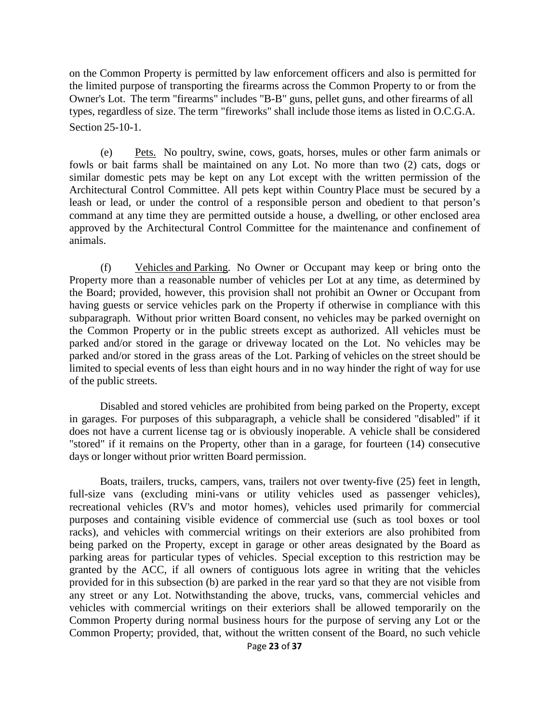on the Common Property is permitted by law enforcement officers and also is permitted for the limited purpose of transporting the firearms across the Common Property to or from the Owner's Lot. The term "firearms" includes "B-B" guns, pellet guns, and other firearms of all types, regardless of size. The term "fireworks" shall include those items as listed in O.C.G.A. Section 25-10-1.

(e) Pets. No poultry, swine, cows, goats, horses, mules or other farm animals or fowls or bait farms shall be maintained on any Lot. No more than two (2) cats, dogs or similar domestic pets may be kept on any Lot except with the written permission of the Architectural Control Committee. All pets kept within Country Place must be secured by a leash or lead, or under the control of a responsible person and obedient to that person's command at any time they are permitted outside a house, a dwelling, or other enclosed area approved by the Architectural Control Committee for the maintenance and confinement of animals.

(f) Vehicles and Parking. No Owner or Occupant may keep or bring onto the Property more than a reasonable number of vehicles per Lot at any time, as determined by the Board; provided, however, this provision shall not prohibit an Owner or Occupant from having guests or service vehicles park on the Property if otherwise in compliance with this subparagraph. Without prior written Board consent, no vehicles may be parked overnight on the Common Property or in the public streets except as authorized. All vehicles must be parked and/or stored in the garage or driveway located on the Lot. No vehicles may be parked and/or stored in the grass areas of the Lot. Parking of vehicles on the street should be limited to special events of less than eight hours and in no way hinder the right of way for use of the public streets.

Disabled and stored vehicles are prohibited from being parked on the Property, except in garages. For purposes of this subparagraph, a vehicle shall be considered "disabled" if it does not have a current license tag or is obviously inoperable. A vehicle shall be considered "stored" if it remains on the Property, other than in a garage, for fourteen (14) consecutive days or longer without prior written Board permission.

Boats, trailers, trucks, campers, vans, trailers not over twenty-five (25) feet in length, full-size vans (excluding mini-vans or utility vehicles used as passenger vehicles), recreational vehicles (RV's and motor homes), vehicles used primarily for commercial purposes and containing visible evidence of commercial use (such as tool boxes or tool racks), and vehicles with commercial writings on their exteriors are also prohibited from being parked on the Property, except in garage or other areas designated by the Board as parking areas for particular types of vehicles. Special exception to this restriction may be granted by the ACC, if all owners of contiguous lots agree in writing that the vehicles provided for in this subsection (b) are parked in the rear yard so that they are not visible from any street or any Lot. Notwithstanding the above, trucks, vans, commercial vehicles and vehicles with commercial writings on their exteriors shall be allowed temporarily on the Common Property during normal business hours for the purpose of serving any Lot or the Common Property; provided, that, without the written consent of the Board, no such vehicle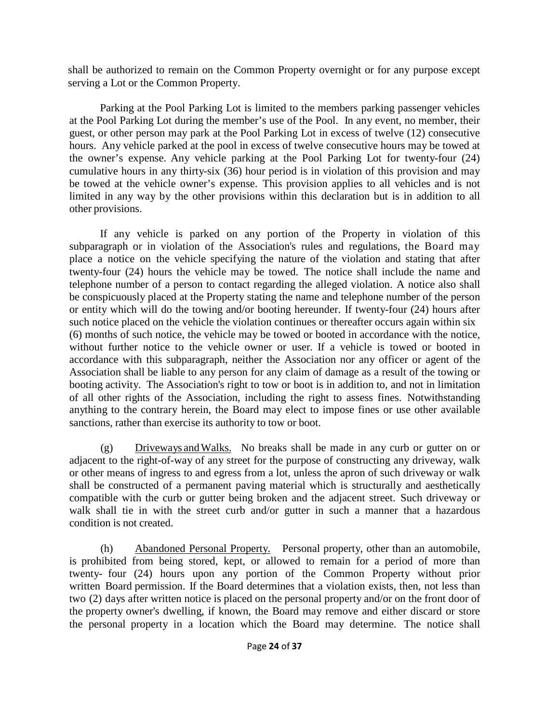shall be authorized to remain on the Common Property overnight or for any purpose except serving a Lot or the Common Property.

Parking at the Pool Parking Lot is limited to the members parking passenger vehicles at the Pool Parking Lot during the member's use of the Pool. In any event, no member, their guest, or other person may park at the Pool Parking Lot in excess of twelve (12) consecutive hours. Any vehicle parked at the pool in excess of twelve consecutive hours may be towed at the owner's expense. Any vehicle parking at the Pool Parking Lot for twenty-four (24) cumulative hours in any thirty-six (36) hour period is in violation of this provision and may be towed at the vehicle owner's expense. This provision applies to all vehicles and is not limited in any way by the other provisions within this declaration but is in addition to all other provisions.

If any vehicle is parked on any portion of the Property in violation of this subparagraph or in violation of the Association's rules and regulations, the Board may place a notice on the vehicle specifying the nature of the violation and stating that after twenty-four (24) hours the vehicle may be towed. The notice shall include the name and telephone number of a person to contact regarding the alleged violation. A notice also shall be conspicuously placed at the Property stating the name and telephone number of the person or entity which will do the towing and/or booting hereunder. If twenty-four (24) hours after such notice placed on the vehicle the violation continues or thereafter occurs again within six (6) months of such notice, the vehicle may be towed or booted in accordance with the notice, without further notice to the vehicle owner or user. If a vehicle is towed or booted in accordance with this subparagraph, neither the Association nor any officer or agent of the Association shall be liable to any person for any claim of damage as a result of the towing or booting activity. The Association's right to tow or boot is in addition to, and not in limitation of all other rights of the Association, including the right to assess fines. Notwithstanding anything to the contrary herein, the Board may elect to impose fines or use other available sanctions, rather than exercise its authority to tow or boot.

(g) Driveways andWalks. No breaks shall be made in any curb or gutter on or adjacent to the right-of-way of any street for the purpose of constructing any driveway, walk or other means of ingress to and egress from a lot, unless the apron of such driveway or walk shall be constructed of a permanent paving material which is structurally and aesthetically compatible with the curb or gutter being broken and the adjacent street. Such driveway or walk shall tie in with the street curb and/or gutter in such a manner that a hazardous condition is not created.

(h) Abandoned Personal Property. Personal property, other than an automobile, is prohibited from being stored, kept, or allowed to remain for a period of more than twenty- four (24) hours upon any portion of the Common Property without prior written Board permission. If the Board determines that a violation exists, then, not less than two (2) days after written notice is placed on the personal property and/or on the front door of the property owner's dwelling, if known, the Board may remove and either discard or store the personal property in a location which the Board may determine. The notice shall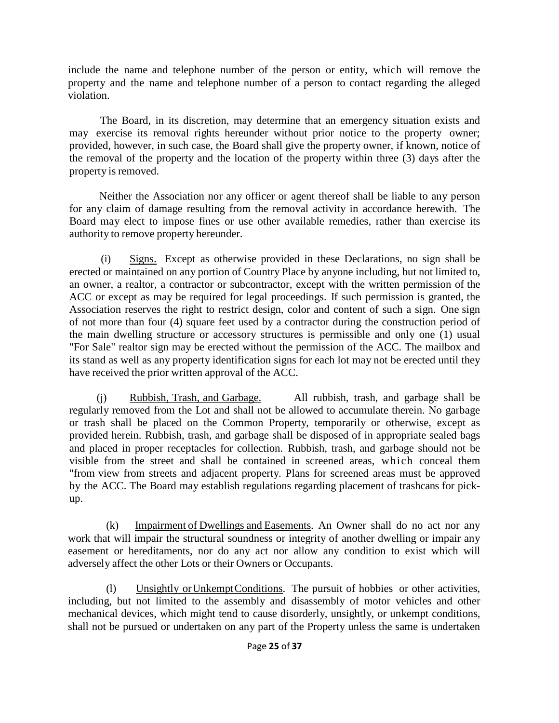include the name and telephone number of the person or entity, which will remove the property and the name and telephone number of a person to contact regarding the alleged violation.

The Board, in its discretion, may determine that an emergency situation exists and may exercise its removal rights hereunder without prior notice to the property owner; provided, however, in such case, the Board shall give the property owner, if known, notice of the removal of the property and the location of the property within three (3) days after the property is removed.

Neither the Association nor any officer or agent thereof shall be liable to any person for any claim of damage resulting from the removal activity in accordance herewith. The Board may elect to impose fines or use other available remedies, rather than exercise its authority to remove property hereunder.

(i) Signs. Except as otherwise provided in these Declarations, no sign shall be erected or maintained on any portion of Country Place by anyone including, but not limited to, an owner, a realtor, a contractor or subcontractor, except with the written permission of the ACC or except as may be required for legal proceedings. If such permission is granted, the Association reserves the right to restrict design, color and content of such a sign. One sign of not more than four (4) square feet used by a contractor during the construction period of the main dwelling structure or accessory structures is permissible and only one (1) usual "For Sale" realtor sign may be erected without the permission of the ACC. The mailbox and its stand as well as any property identification signs for each lot may not be erected until they have received the prior written approval of the ACC.

(j) Rubbish, Trash, and Garbage. All rubbish, trash, and garbage shall be regularly removed from the Lot and shall not be allowed to accumulate therein. No garbage or trash shall be placed on the Common Property, temporarily or otherwise, except as provided herein. Rubbish, trash, and garbage shall be disposed of in appropriate sealed bags and placed in proper receptacles for collection. Rubbish, trash, and garbage should not be visible from the street and shall be contained in screened areas, which conceal them "from view from streets and adjacent property. Plans for screened areas must be approved by the ACC. The Board may establish regulations regarding placement of trashcans for pickup.

(k) Impairment of Dwellings and Easements. An Owner shall do no act nor any work that will impair the structural soundness or integrity of another dwelling or impair any easement or hereditaments, nor do any act nor allow any condition to exist which will adversely affect the other Lots or their Owners or Occupants.

(l) Unsightly orUnkemptConditions. The pursuit of hobbies or other activities, including, but not limited to the assembly and disassembly of motor vehicles and other mechanical devices, which might tend to cause disorderly, unsightly, or unkempt conditions, shall not be pursued or undertaken on any part of the Property unless the same is undertaken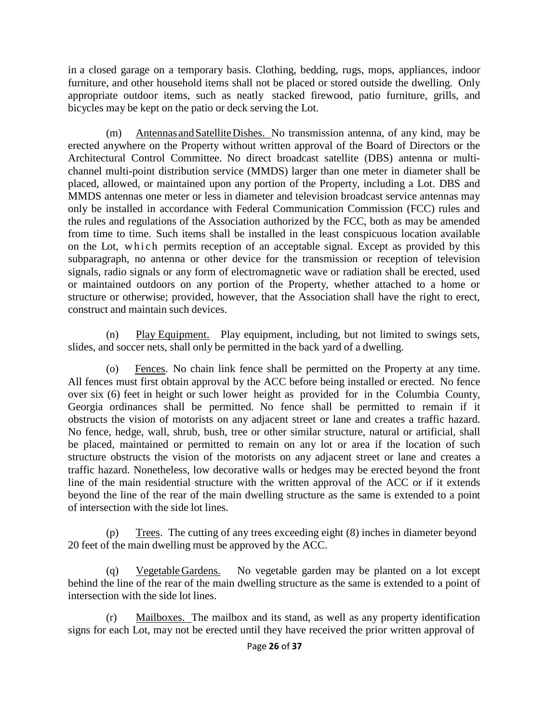in a closed garage on a temporary basis. Clothing, bedding, rugs, mops, appliances, indoor furniture, and other household items shall not be placed or stored outside the dwelling. Only appropriate outdoor items, such as neatly stacked firewood, patio furniture, grills, and bicycles may be kept on the patio or deck serving the Lot.

(m) Antennas andSatelliteDishes. No transmission antenna, of any kind, may be erected anywhere on the Property without written approval of the Board of Directors or the Architectural Control Committee. No direct broadcast satellite (DBS) antenna or multichannel multi-point distribution service (MMDS) larger than one meter in diameter shall be placed, allowed, or maintained upon any portion of the Property, including a Lot. DBS and MMDS antennas one meter or less in diameter and television broadcast service antennas may only be installed in accordance with Federal Communication Commission (FCC) rules and the rules and regulations of the Association authorized by the FCC, both as may be amended from time to time. Such items shall be installed in the least conspicuous location available on the Lot, which permits reception of an acceptable signal. Except as provided by this subparagraph, no antenna or other device for the transmission or reception of television signals, radio signals or any form of electromagnetic wave or radiation shall be erected, used or maintained outdoors on any portion of the Property, whether attached to a home or structure or otherwise; provided, however, that the Association shall have the right to erect, construct and maintain such devices.

(n) Play Equipment. Play equipment, including, but not limited to swings sets, slides, and soccer nets, shall only be permitted in the back yard of a dwelling.

(o) Fences. No chain link fence shall be permitted on the Property at any time. All fences must first obtain approval by the ACC before being installed or erected. No fence over six (6) feet in height or such lower height as provided for in the Columbia County, Georgia ordinances shall be permitted. No fence shall be permitted to remain if it obstructs the vision of motorists on any adjacent street or lane and creates a traffic hazard. No fence, hedge, wall, shrub, bush, tree or other similar structure, natural or artificial, shall be placed, maintained or permitted to remain on any lot or area if the location of such structure obstructs the vision of the motorists on any adjacent street or lane and creates a traffic hazard. Nonetheless, low decorative walls or hedges may be erected beyond the front line of the main residential structure with the written approval of the ACC or if it extends beyond the line of the rear of the main dwelling structure as the same is extended to a point of intersection with the side lot lines.

(p) Trees. The cutting of any trees exceeding eight (8) inches in diameter beyond 20 feet of the main dwelling must be approved by the ACC.

(q) VegetableGardens. No vegetable garden may be planted on a lot except behind the line of the rear of the main dwelling structure as the same is extended to a point of intersection with the side lot lines.

(r) Mailboxes. The mailbox and its stand, as well as any property identification signs for each Lot, may not be erected until they have received the prior written approval of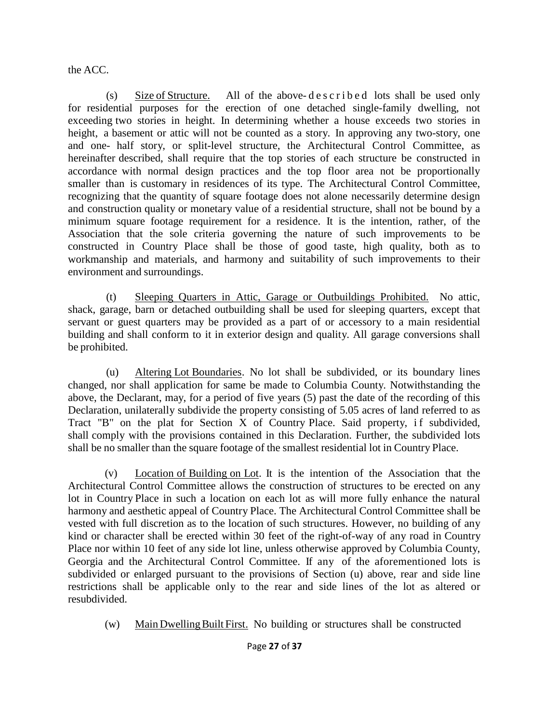the ACC.

(s) Size of Structure. All of the above- described lots shall be used only for residential purposes for the erection of one detached single-family dwelling, not exceeding two stories in height. In determining whether a house exceeds two stories in height, a basement or attic will not be counted as a story. In approving any two-story, one and one- half story, or split-level structure, the Architectural Control Committee, as hereinafter described, shall require that the top stories of each structure be constructed in accordance with normal design practices and the top floor area not be proportionally smaller than is customary in residences of its type. The Architectural Control Committee, recognizing that the quantity of square footage does not alone necessarily determine design and construction quality or monetary value of a residential structure, shall not be bound by a minimum square footage requirement for a residence. It is the intention, rather, of the Association that the sole criteria governing the nature of such improvements to be constructed in Country Place shall be those of good taste, high quality, both as to workmanship and materials, and harmony and suitability of such improvements to their environment and surroundings.

(t) Sleeping Quarters in Attic, Garage or Outbuildings Prohibited. No attic, shack, garage, barn or detached outbuilding shall be used for sleeping quarters, except that servant or guest quarters may be provided as a part of or accessory to a main residential building and shall conform to it in exterior design and quality. All garage conversions shall be prohibited.

(u) Altering Lot Boundaries. No lot shall be subdivided, or its boundary lines changed, nor shall application for same be made to Columbia County. Notwithstanding the above, the Declarant, may, for a period of five years (5) past the date of the recording of this Declaration, unilaterally subdivide the property consisting of 5.05 acres of land referred to as Tract "B" on the plat for Section  $X$  of Country Place. Said property, if subdivided, shall comply with the provisions contained in this Declaration. Further, the subdivided lots shall be no smaller than the square footage of the smallest residential lot in Country Place.

(v) Location of Building on Lot. It is the intention of the Association that the Architectural Control Committee allows the construction of structures to be erected on any lot in Country Place in such a location on each lot as will more fully enhance the natural harmony and aesthetic appeal of Country Place. The Architectural Control Committee shall be vested with full discretion as to the location of such structures. However, no building of any kind or character shall be erected within 30 feet of the right-of-way of any road in Country Place nor within 10 feet of any side lot line, unless otherwise approved by Columbia County, Georgia and the Architectural Control Committee. If any of the aforementioned lots is subdivided or enlarged pursuant to the provisions of Section (u) above, rear and side line restrictions shall be applicable only to the rear and side lines of the lot as altered or resubdivided.

(w) Main DwellingBuilt First. No building or structures shall be constructed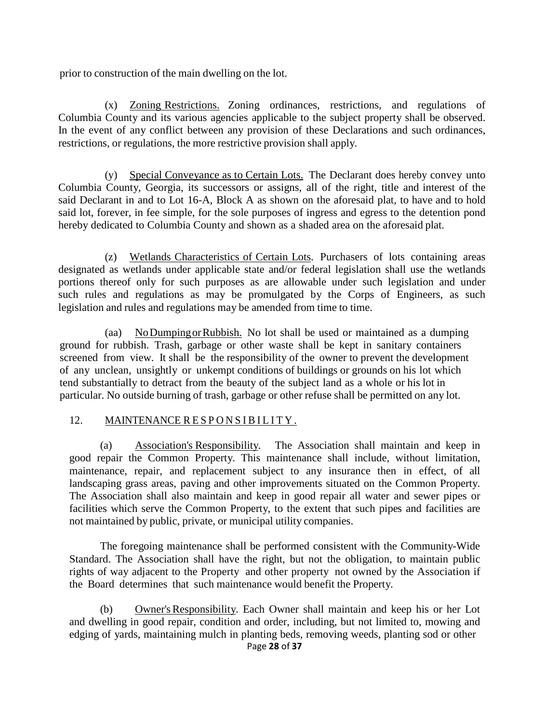prior to construction of the main dwelling on the lot.

(x) Zoning Restrictions. Zoning ordinances, restrictions, and regulations of Columbia County and its various agencies applicable to the subject property shall be observed. In the event of any conflict between any provision of these Declarations and such ordinances, restrictions, or regulations, the more restrictive provision shall apply.

(y) Special Conveyance as to Certain Lots. The Declarant does hereby convey unto Columbia County, Georgia, its successors or assigns, all of the right, title and interest of the said Declarant in and to Lot 16-A, Block A as shown on the aforesaid plat, to have and to hold said lot, forever, in fee simple, for the sole purposes of ingress and egress to the detention pond hereby dedicated to Columbia County and shown as a shaded area on the aforesaid plat.

(z) Wetlands Characteristics of Certain Lots. Purchasers of lots containing areas designated as wetlands under applicable state and/or federal legislation shall use the wetlands portions thereof only for such purposes as are allowable under such legislation and under such rules and regulations as may be promulgated by the Corps of Engineers, as such legislation and rules and regulations may be amended from time to time.

(aa) NoDumpingorRubbish. No lot shall be used or maintained as a dumping ground for rubbish. Trash, garbage or other waste shall be kept in sanitary containers screened from view. It shall be the responsibility of the owner to prevent the development of any unclean, unsightly or unkempt conditions of buildings or grounds on his lot which tend substantially to detract from the beauty of the subject land as a whole or his lot in particular. No outside burning of trash, garbage or other refuse shall be permitted on any lot.

## 12. MAINTENANCE RESPONSIBILITY .

(a) Association's Responsibility. The Association shall maintain and keep in good repair the Common Property. This maintenance shall include, without limitation, maintenance, repair, and replacement subject to any insurance then in effect, of all landscaping grass areas, paving and other improvements situated on the Common Property. The Association shall also maintain and keep in good repair all water and sewer pipes or facilities which serve the Common Property, to the extent that such pipes and facilities are not maintained by public, private, or municipal utility companies.

The foregoing maintenance shall be performed consistent with the Community-Wide Standard. The Association shall have the right, but not the obligation, to maintain public rights of way adjacent to the Property and other property not owned by the Association if the Board determines that such maintenance would benefit the Property.

Page **28** of **37** (b) Owner'sResponsibility. Each Owner shall maintain and keep his or her Lot and dwelling in good repair, condition and order, including, but not limited to, mowing and edging of yards, maintaining mulch in planting beds, removing weeds, planting sod or other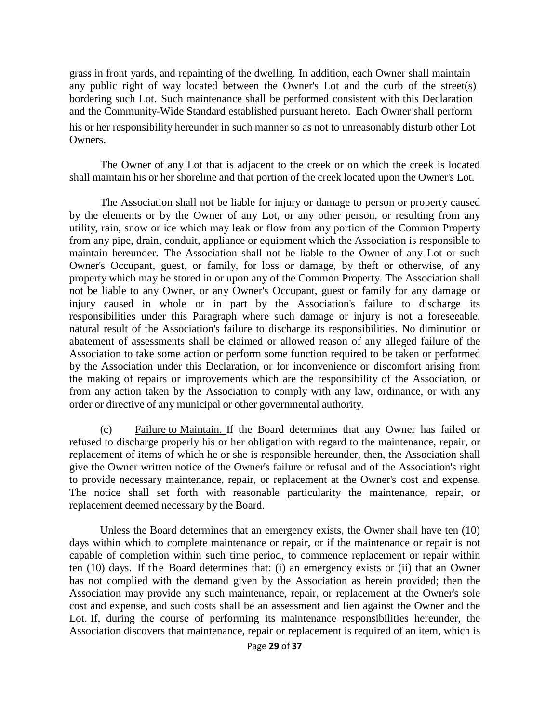grass in front yards, and repainting of the dwelling. In addition, each Owner shall maintain any public right of way located between the Owner's Lot and the curb of the street(s) bordering such Lot. Such maintenance shall be performed consistent with this Declaration and the Community-Wide Standard established pursuant hereto. Each Owner shall perform his or her responsibility hereunder in such manner so as not to unreasonably disturb other Lot Owners.

The Owner of any Lot that is adjacent to the creek or on which the creek is located shall maintain his or her shoreline and that portion of the creek located upon the Owner's Lot.

The Association shall not be liable for injury or damage to person or property caused by the elements or by the Owner of any Lot, or any other person, or resulting from any utility, rain, snow or ice which may leak or flow from any portion of the Common Property from any pipe, drain, conduit, appliance or equipment which the Association is responsible to maintain hereunder. The Association shall not be liable to the Owner of any Lot or such Owner's Occupant, guest, or family, for loss or damage, by theft or otherwise, of any property which may be stored in or upon any of the Common Property. The Association shall not be liable to any Owner, or any Owner's Occupant, guest or family for any damage or injury caused in whole or in part by the Association's failure to discharge its responsibilities under this Paragraph where such damage or injury is not a foreseeable, natural result of the Association's failure to discharge its responsibilities. No diminution or abatement of assessments shall be claimed or allowed reason of any alleged failure of the Association to take some action or perform some function required to be taken or performed by the Association under this Declaration, or for inconvenience or discomfort arising from the making of repairs or improvements which are the responsibility of the Association, or from any action taken by the Association to comply with any law, ordinance, or with any order or directive of any municipal or other governmental authority.

(c) Failure to Maintain. If the Board determines that any Owner has failed or refused to discharge properly his or her obligation with regard to the maintenance, repair, or replacement of items of which he or she is responsible hereunder, then, the Association shall give the Owner written notice of the Owner's failure or refusal and of the Association's right to provide necessary maintenance, repair, or replacement at the Owner's cost and expense. The notice shall set forth with reasonable particularity the maintenance, repair, or replacement deemed necessary by the Board.

Unless the Board determines that an emergency exists, the Owner shall have ten (10) days within which to complete maintenance or repair, or if the maintenance or repair is not capable of completion within such time period, to commence replacement or repair within ten (10) days. If the Board determines that: (i) an emergency exists or (ii) that an Owner has not complied with the demand given by the Association as herein provided; then the Association may provide any such maintenance, repair, or replacement at the Owner's sole cost and expense, and such costs shall be an assessment and lien against the Owner and the Lot. If, during the course of performing its maintenance responsibilities hereunder, the Association discovers that maintenance, repair or replacement is required of an item, which is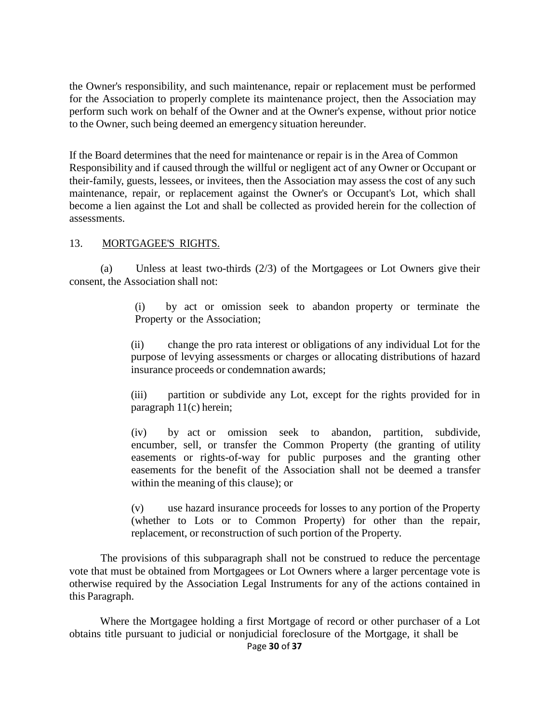the Owner's responsibility, and such maintenance, repair or replacement must be performed for the Association to properly complete its maintenance project, then the Association may perform such work on behalf of the Owner and at the Owner's expense, without prior notice to the Owner, such being deemed an emergency situation hereunder.

If the Board determines that the need for maintenance or repair is in the Area of Common Responsibility and if caused through the willful or negligent act of any Owner or Occupant or their-family, guests, lessees, or invitees, then the Association may assess the cost of any such maintenance, repair, or replacement against the Owner's or Occupant's Lot, which shall become a lien against the Lot and shall be collected as provided herein for the collection of assessments.

#### 13. MORTGAGEE'S RIGHTS.

(a) Unless at least two-thirds (2/3) of the Mortgagees or Lot Owners give their consent, the Association shall not:

> (i) by act or omission seek to abandon property or terminate the Property or the Association;

(ii) change the pro rata interest or obligations of any individual Lot for the purpose of levying assessments or charges or allocating distributions of hazard insurance proceeds or condemnation awards;

(iii) partition or subdivide any Lot, except for the rights provided for in paragraph 11(c) herein;

(iv) by act or omission seek to abandon, partition, subdivide, encumber, sell, or transfer the Common Property (the granting of utility easements or rights-of-way for public purposes and the granting other easements for the benefit of the Association shall not be deemed a transfer within the meaning of this clause); or

(v) use hazard insurance proceeds for losses to any portion of the Property (whether to Lots or to Common Property) for other than the repair, replacement, or reconstruction of such portion of the Property.

The provisions of this subparagraph shall not be construed to reduce the percentage vote that must be obtained from Mortgagees or Lot Owners where a larger percentage vote is otherwise required by the Association Legal Instruments for any of the actions contained in this Paragraph.

Where the Mortgagee holding a first Mortgage of record or other purchaser of a Lot obtains title pursuant to judicial or nonjudicial foreclosure of the Mortgage, it shall be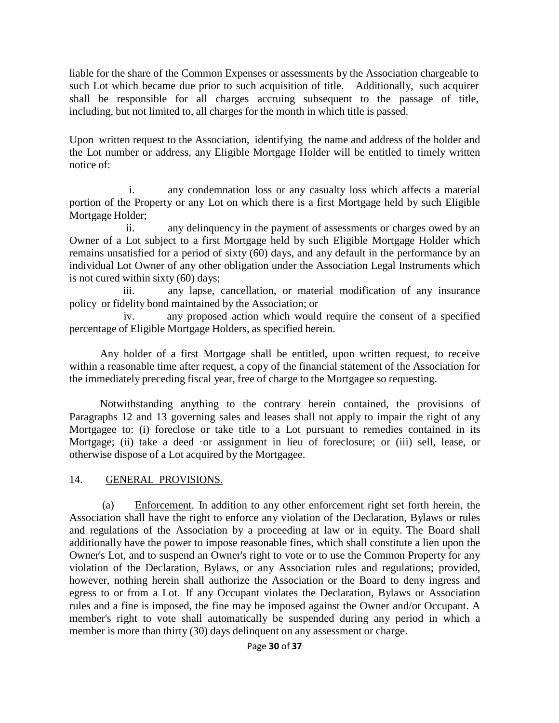liable for the share of the Common Expenses or assessments by the Association chargeable to such Lot which became due prior to such acquisition of title. Additionally, such acquirer shall be responsible for all charges accruing subsequent to the passage of title, including, but not limited to, all charges for the month in which title is passed.

Upon written request to the Association, identifying the name and address of the holder and the Lot number or address, any Eligible Mortgage Holder will be entitled to timely written notice of:

i. any condemnation loss or any casualty loss which affects a material portion of the Property or any Lot on which there is a first Mortgage held by such Eligible Mortgage Holder;

ii. any delinquency in the payment of assessments or charges owed by an Owner of a Lot subject to a first Mortgage held by such Eligible Mortgage Holder which remains unsatisfied for a period of sixty (60) days, and any default in the performance by an individual Lot Owner of any other obligation under the Association Legal Instruments which is not cured within sixty (60) days;

iii. any lapse, cancellation, or material modification of any insurance policy or fidelity bond maintained by the Association; or

iv. any proposed action which would require the consent of a specified percentage of Eligible Mortgage Holders, as specified herein.

Any holder of a first Mortgage shall be entitled, upon written request, to receive within a reasonable time after request, a copy of the financial statement of the Association for the immediately preceding fiscal year, free of charge to the Mortgagee so requesting.

Notwithstanding anything to the contrary herein contained, the provisions of Paragraphs 12 and 13 governing sales and leases shall not apply to impair the right of any Mortgagee to: (i) foreclose or take title to a Lot pursuant to remedies contained in its Mortgage; (ii) take a deed or assignment in lieu of foreclosure; or (iii) sell, lease, or otherwise dispose of a Lot acquired by the Mortgagee.

## 14. GENERAL PROVISIONS.

(a) Enforcement. In addition to any other enforcement right set forth herein, the Association shall have the right to enforce any violation of the Declaration, Bylaws or rules and regulations of the Association by a proceeding at law or in equity. The Board shall additionally have the power to impose reasonable fines, which shall constitute a lien upon the Owner's Lot, and to suspend an Owner's right to vote or to use the Common Property for any violation of the Declaration, Bylaws, or any Association rules and regulations; provided, however, nothing herein shall authorize the Association or the Board to deny ingress and egress to or from a Lot. If any Occupant violates the Declaration, Bylaws or Association rules and a fine is imposed, the fine may be imposed against the Owner and/or Occupant. A member's right to vote shall automatically be suspended during any period in which a member is more than thirty (30) days delinquent on any assessment or charge.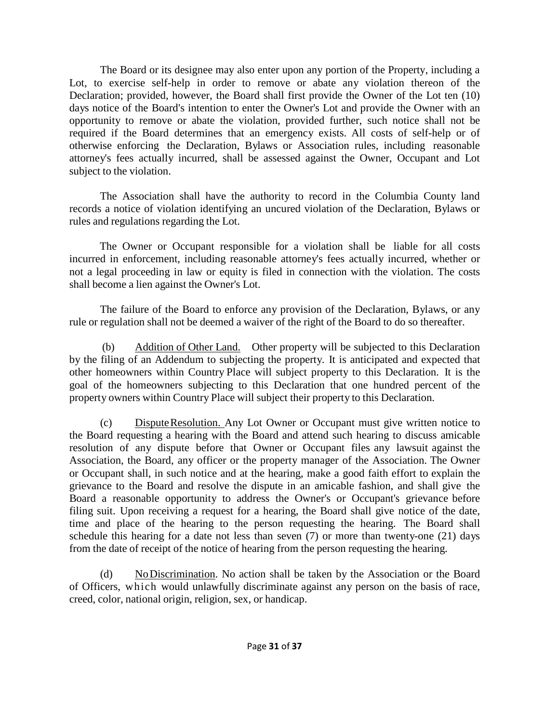The Board or its designee may also enter upon any portion of the Property, including a Lot, to exercise self-help in order to remove or abate any violation thereon of the Declaration; provided, however, the Board shall first provide the Owner of the Lot ten (10) days notice of the Board's intention to enter the Owner's Lot and provide the Owner with an opportunity to remove or abate the violation, provided further, such notice shall not be required if the Board determines that an emergency exists. All costs of self-help or of otherwise enforcing the Declaration, Bylaws or Association rules, including reasonable attorney's fees actually incurred, shall be assessed against the Owner, Occupant and Lot subject to the violation.

The Association shall have the authority to record in the Columbia County land records a notice of violation identifying an uncured violation of the Declaration, Bylaws or rules and regulations regarding the Lot.

The Owner or Occupant responsible for a violation shall be liable for all costs incurred in enforcement, including reasonable attorney's fees actually incurred, whether or not a legal proceeding in law or equity is filed in connection with the violation. The costs shall become a lien against the Owner's Lot.

The failure of the Board to enforce any provision of the Declaration, Bylaws, or any rule or regulation shall not be deemed a waiver of the right of the Board to do so thereafter.

(b) Addition of Other Land. Other property will be subjected to this Declaration by the filing of an Addendum to subjecting the property. It is anticipated and expected that other homeowners within Country Place will subject property to this Declaration. It is the goal of the homeowners subjecting to this Declaration that one hundred percent of the property owners within Country Place will subject their property to this Declaration.

(c) DisputeResolution. Any Lot Owner or Occupant must give written notice to the Board requesting a hearing with the Board and attend such hearing to discuss amicable resolution of any dispute before that Owner or Occupant files any lawsuit against the Association, the Board, any officer or the property manager of the Association. The Owner or Occupant shall, in such notice and at the hearing, make a good faith effort to explain the grievance to the Board and resolve the dispute in an amicable fashion, and shall give the Board a reasonable opportunity to address the Owner's or Occupant's grievance before filing suit. Upon receiving a request for a hearing, the Board shall give notice of the date, time and place of the hearing to the person requesting the hearing. The Board shall schedule this hearing for a date not less than seven (7) or more than twenty-one (21) days from the date of receipt of the notice of hearing from the person requesting the hearing.

(d) NoDiscrimination. No action shall be taken by the Association or the Board of Officers, which would unlawfully discriminate against any person on the basis of race, creed, color, national origin, religion, sex, or handicap.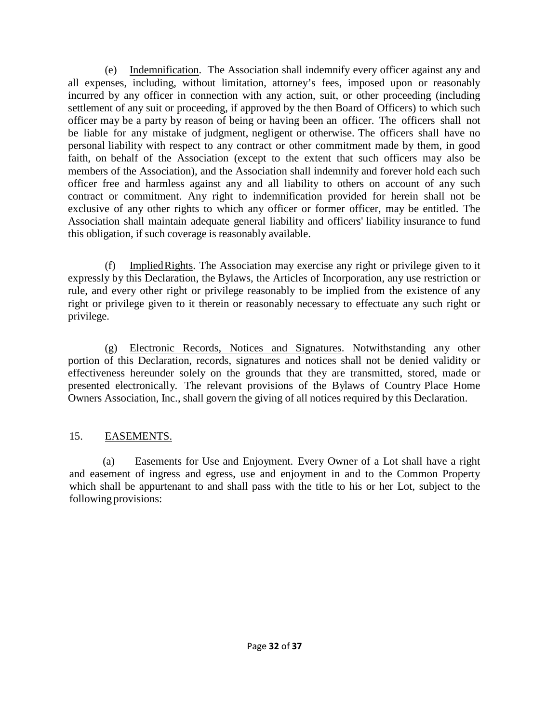(e) Indemnification. The Association shall indemnify every officer against any and all expenses, including, without limitation, attorney's fees, imposed upon or reasonably incurred by any officer in connection with any action, suit, or other proceeding (including settlement of any suit or proceeding, if approved by the then Board of Officers) to which such officer may be a party by reason of being or having been an officer. The officers shall not be liable for any mistake of judgment, negligent or otherwise. The officers shall have no personal liability with respect to any contract or other commitment made by them, in good faith, on behalf of the Association (except to the extent that such officers may also be members of the Association), and the Association shall indemnify and forever hold each such officer free and harmless against any and all liability to others on account of any such contract or commitment. Any right to indemnification provided for herein shall not be exclusive of any other rights to which any officer or former officer, may be entitled. The Association shall maintain adequate general liability and officers' liability insurance to fund this obligation, if such coverage is reasonably available.

(f) ImpliedRights. The Association may exercise any right or privilege given to it expressly by this Declaration, the Bylaws, the Articles of Incorporation, any use restriction or rule, and every other right or privilege reasonably to be implied from the existence of any right or privilege given to it therein or reasonably necessary to effectuate any such right or privilege.

(g) Electronic Records, Notices and Signatures. Notwithstanding any other portion of this Declaration, records, signatures and notices shall not be denied validity or effectiveness hereunder solely on the grounds that they are transmitted, stored, made or presented electronically. The relevant provisions of the Bylaws of Country Place Home Owners Association, Inc., shall govern the giving of all notices required by this Declaration.

## 15. EASEMENTS.

(a) Easements for Use and Enjoyment. Every Owner of a Lot shall have a right and easement of ingress and egress, use and enjoyment in and to the Common Property which shall be appurtenant to and shall pass with the title to his or her Lot, subject to the following provisions: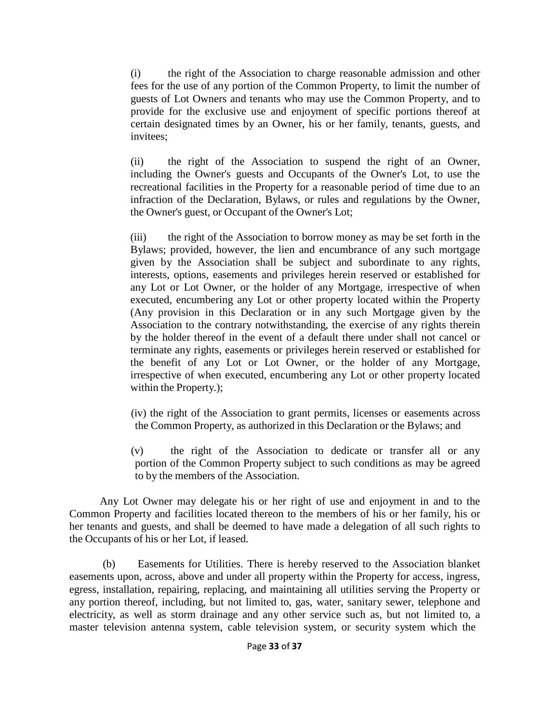(i) the right of the Association to charge reasonable admission and other fees for the use of any portion of the Common Property, to limit the number of guests of Lot Owners and tenants who may use the Common Property, and to provide for the exclusive use and enjoyment of specific portions thereof at certain designated times by an Owner, his or her family, tenants, guests, and invitees;

(ii) the right of the Association to suspend the right of an Owner, including the Owner's guests and Occupants of the Owner's Lot, to use the recreational facilities in the Property for a reasonable period of time due to an infraction of the Declaration, Bylaws, or rules and regulations by the Owner, the Owner's guest, or Occupant of the Owner's Lot;

(iii) the right of the Association to borrow money as may be set forth in the Bylaws; provided, however, the lien and encumbrance of any such mortgage given by the Association shall be subject and subordinate to any rights, interests, options, easements and privileges herein reserved or established for any Lot or Lot Owner, or the holder of any Mortgage, irrespective of when executed, encumbering any Lot or other property located within the Property (Any provision in this Declaration or in any such Mortgage given by the Association to the contrary notwithstanding, the exercise of any rights therein by the holder thereof in the event of a default there under shall not cancel or terminate any rights, easements or privileges herein reserved or established for the benefit of any Lot or Lot Owner, or the holder of any Mortgage, irrespective of when executed, encumbering any Lot or other property located within the Property.);

(iv) the right of the Association to grant permits, licenses or easements across the Common Property, as authorized in this Declaration or the Bylaws; and

(v) the right of the Association to dedicate or transfer all or any portion of the Common Property subject to such conditions as may be agreed to by the members of the Association.

Any Lot Owner may delegate his or her right of use and enjoyment in and to the Common Property and facilities located thereon to the members of his or her family, his or her tenants and guests, and shall be deemed to have made a delegation of all such rights to the Occupants of his or her Lot, if leased.

(b) Easements for Utilities. There is hereby reserved to the Association blanket easements upon, across, above and under all property within the Property for access, ingress, egress, installation, repairing, replacing, and maintaining all utilities serving the Property or any portion thereof, including, but not limited to, gas, water, sanitary sewer, telephone and electricity, as well as storm drainage and any other service such as, but not limited to, a master television antenna system, cable television system, or security system which the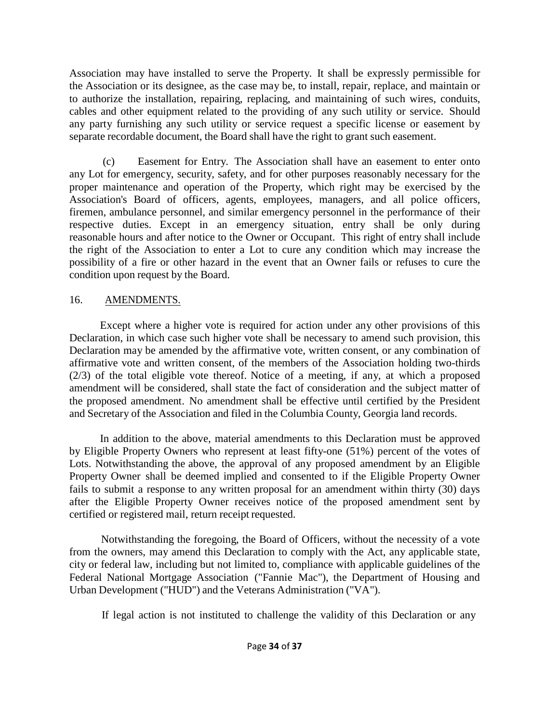Association may have installed to serve the Property. It shall be expressly permissible for the Association or its designee, as the case may be, to install, repair, replace, and maintain or to authorize the installation, repairing, replacing, and maintaining of such wires, conduits, cables and other equipment related to the providing of any such utility or service. Should any party furnishing any such utility or service request a specific license or easement by separate recordable document, the Board shall have the right to grant such easement.

(c) Easement for Entry. The Association shall have an easement to enter onto any Lot for emergency, security, safety, and for other purposes reasonably necessary for the proper maintenance and operation of the Property, which right may be exercised by the Association's Board of officers, agents, employees, managers, and all police officers, firemen, ambulance personnel, and similar emergency personnel in the performance of their respective duties. Except in an emergency situation, entry shall be only during reasonable hours and after notice to the Owner or Occupant. This right of entry shall include the right of the Association to enter a Lot to cure any condition which may increase the possibility of a fire or other hazard in the event that an Owner fails or refuses to cure the condition upon request by the Board.

## 16. AMENDMENTS.

Except where a higher vote is required for action under any other provisions of this Declaration, in which case such higher vote shall be necessary to amend such provision, this Declaration may be amended by the affirmative vote, written consent, or any combination of affirmative vote and written consent, of the members of the Association holding two-thirds (2/3) of the total eligible vote thereof. Notice of a meeting, if any, at which a proposed amendment will be considered, shall state the fact of consideration and the subject matter of the proposed amendment. No amendment shall be effective until certified by the President and Secretary of the Association and filed in the Columbia County, Georgia land records.

In addition to the above, material amendments to this Declaration must be approved by Eligible Property Owners who represent at least fifty-one (51%) percent of the votes of Lots. Notwithstanding the above, the approval of any proposed amendment by an Eligible Property Owner shall be deemed implied and consented to if the Eligible Property Owner fails to submit a response to any written proposal for an amendment within thirty (30) days after the Eligible Property Owner receives notice of the proposed amendment sent by certified or registered mail, return receipt requested.

Notwithstanding the foregoing, the Board of Officers, without the necessity of a vote from the owners, may amend this Declaration to comply with the Act, any applicable state, city or federal law, including but not limited to, compliance with applicable guidelines of the Federal National Mortgage Association ("Fannie Mac"), the Department of Housing and Urban Development ("HUD") and the Veterans Administration ("VA").

If legal action is not instituted to challenge the validity of this Declaration or any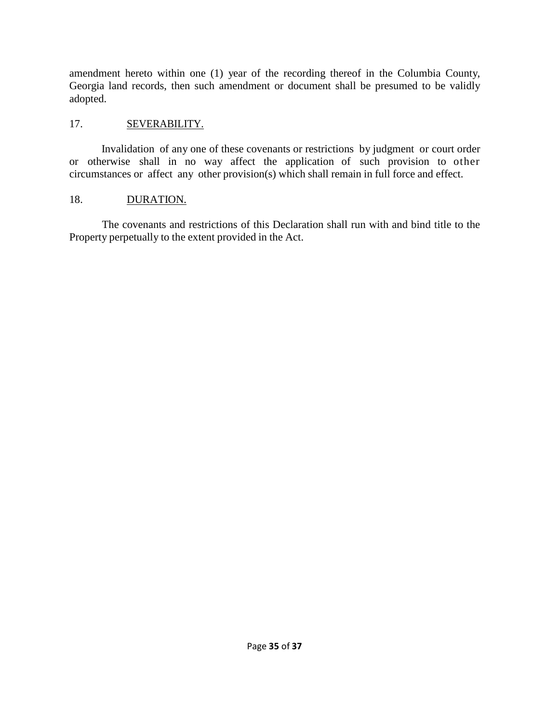amendment hereto within one (1) year of the recording thereof in the Columbia County, Georgia land records, then such amendment or document shall be presumed to be validly adopted.

## 17. **SEVERABILITY.**

Invalidation of any one of these covenants or restrictions by judgment or court order or otherwise shall in no way affect the application of such provision to other circumstances or affect any other provision(s) which shall remain in full force and effect.

## 18. DURATION.

The covenants and restrictions of this Declaration shall run with and bind title to the Property perpetually to the extent provided in the Act.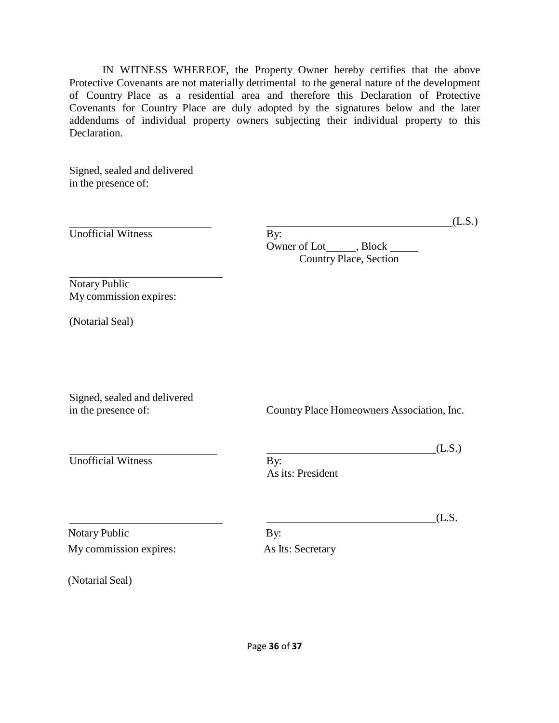IN WITNESS WHEREOF, the Property Owner hereby certifies that the above Protective Covenants are not materially detrimental to the general nature of the development of Country Place as a residential area and therefore this Declaration of Protective Covenants for Country Place are duly adopted by the signatures below and the later addendums of individual property owners subjecting their individual property to this Declaration.

Signed, sealed and delivered in the presence of:

|                                                     | (L.S.)                                                           |  |  |  |
|-----------------------------------------------------|------------------------------------------------------------------|--|--|--|
| <b>Unofficial Witness</b>                           | By:<br>Owner of Lot______, Block _____<br>Country Place, Section |  |  |  |
| Notary Public<br>My commission expires:             |                                                                  |  |  |  |
| (Notarial Seal)                                     |                                                                  |  |  |  |
| Signed, sealed and delivered<br>in the presence of: | Country Place Homeowners Association, Inc.                       |  |  |  |
| <b>Unofficial Witness</b>                           | (L.S.)<br>By:<br>As its: President                               |  |  |  |
| <b>Notary Public</b>                                | (L.S.<br>By:                                                     |  |  |  |
| My commission expires:<br>(Notarial Seal)           | As Its: Secretary                                                |  |  |  |
|                                                     |                                                                  |  |  |  |